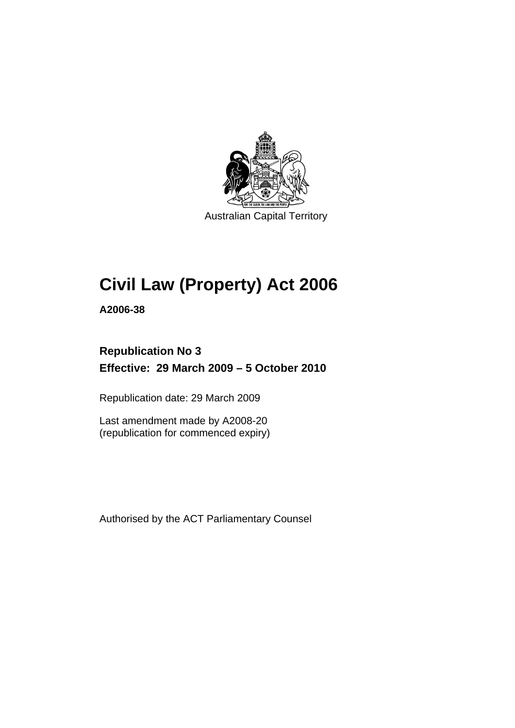

Australian Capital Territory

# **[Civil Law \(Property\) Act 2006](#page-10-0)**

**A2006-38** 

# **Republication No 3 Effective: 29 March 2009 – 5 October 2010**

Republication date: 29 March 2009

Last amendment made by A2008-20 (republication for commenced expiry)

Authorised by the ACT Parliamentary Counsel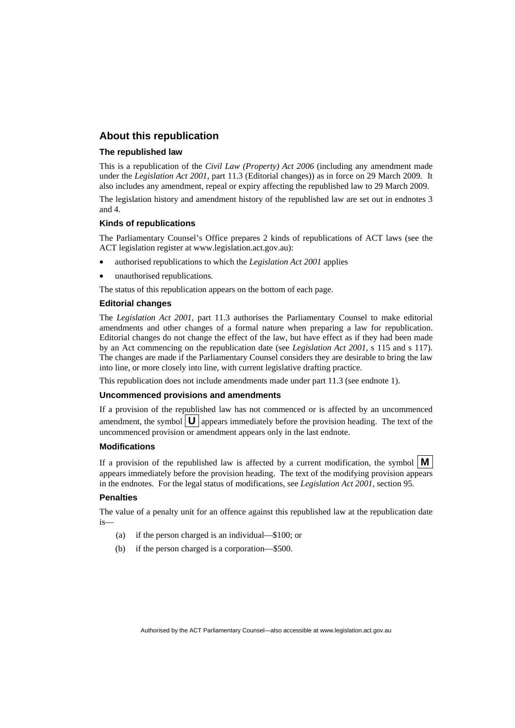#### **About this republication**

#### **The republished law**

This is a republication of the *Civil Law (Property) Act 2006* (including any amendment made under the *Legislation Act 2001*, part 11.3 (Editorial changes)) as in force on 29 March 2009*.* It also includes any amendment, repeal or expiry affecting the republished law to 29 March 2009.

The legislation history and amendment history of the republished law are set out in endnotes 3 and 4.

#### **Kinds of republications**

The Parliamentary Counsel's Office prepares 2 kinds of republications of ACT laws (see the ACT legislation register at www.legislation.act.gov.au):

- authorised republications to which the *Legislation Act 2001* applies
- unauthorised republications.

The status of this republication appears on the bottom of each page.

#### **Editorial changes**

The *Legislation Act 2001*, part 11.3 authorises the Parliamentary Counsel to make editorial amendments and other changes of a formal nature when preparing a law for republication. Editorial changes do not change the effect of the law, but have effect as if they had been made by an Act commencing on the republication date (see *Legislation Act 2001*, s 115 and s 117). The changes are made if the Parliamentary Counsel considers they are desirable to bring the law into line, or more closely into line, with current legislative drafting practice.

This republication does not include amendments made under part 11.3 (see endnote 1).

#### **Uncommenced provisions and amendments**

If a provision of the republished law has not commenced or is affected by an uncommenced amendment, the symbol  $\mathbf{U}$  appears immediately before the provision heading. The text of the uncommenced provision or amendment appears only in the last endnote.

#### **Modifications**

If a provision of the republished law is affected by a current modification, the symbol  $\mathbf{M}$ appears immediately before the provision heading. The text of the modifying provision appears in the endnotes. For the legal status of modifications, see *Legislation Act 2001*, section 95.

#### **Penalties**

The value of a penalty unit for an offence against this republished law at the republication date is—

- (a) if the person charged is an individual—\$100; or
- (b) if the person charged is a corporation—\$500.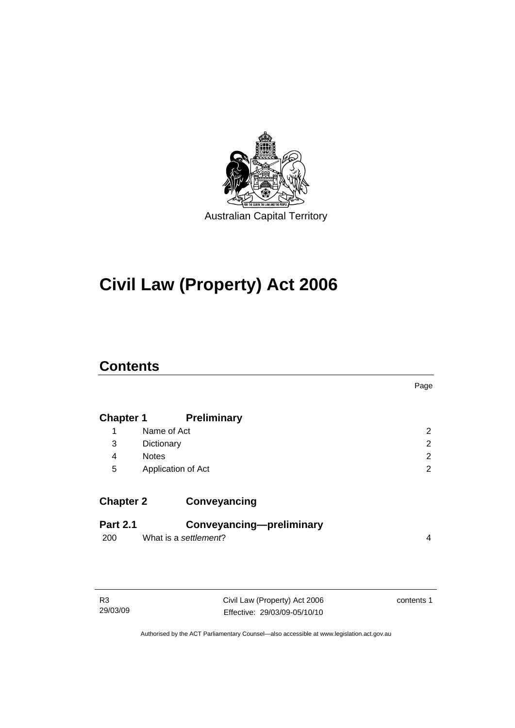

# **[Civil Law \(Property\) Act 2006](#page-10-0)**

# **Contents**

|                        |                                                   | Page           |
|------------------------|---------------------------------------------------|----------------|
| <b>Chapter 1</b>       | <b>Preliminary</b>                                |                |
| 1                      | Name of Act                                       | $\overline{2}$ |
| 3                      | Dictionary                                        | 2              |
| 4                      | <b>Notes</b>                                      | 2              |
| 5                      | Application of Act                                | 2              |
| <b>Chapter 2</b>       | Conveyancing                                      |                |
| <b>Part 2.1</b><br>200 | Conveyancing-preliminary<br>What is a settlement? | 4              |

| RЗ       |
|----------|
| 29/03/09 |

Civil Law (Property) Act 2006 Effective: 29/03/09-05/10/10 contents 1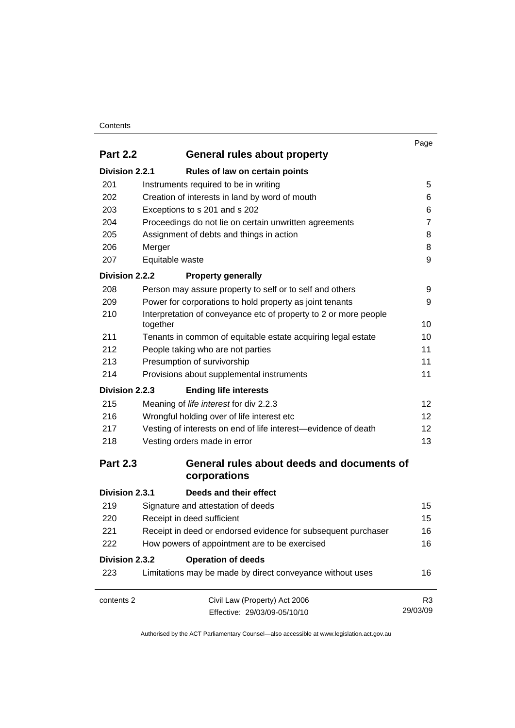#### **Contents**

| <b>Part 2.2</b> | General rules about property                                                 | Page            |
|-----------------|------------------------------------------------------------------------------|-----------------|
| Division 2.2.1  | Rules of law on certain points                                               |                 |
| 201             | Instruments required to be in writing                                        | 5               |
| 202             | Creation of interests in land by word of mouth                               | 6               |
| 203             | Exceptions to s 201 and s 202                                                | 6               |
| 204             | Proceedings do not lie on certain unwritten agreements                       | $\overline{7}$  |
| 205             | Assignment of debts and things in action                                     | 8               |
| 206             | Merger                                                                       | 8               |
| 207             | Equitable waste                                                              | 9               |
| Division 2.2.2  | <b>Property generally</b>                                                    |                 |
| 208             | Person may assure property to self or to self and others                     | 9               |
| 209             | Power for corporations to hold property as joint tenants                     | 9               |
| 210             | Interpretation of conveyance etc of property to 2 or more people<br>together | 10              |
| 211             | Tenants in common of equitable estate acquiring legal estate                 | 10              |
| 212             | People taking who are not parties                                            | 11              |
| 213             | Presumption of survivorship                                                  | 11              |
| 214             | Provisions about supplemental instruments                                    | 11              |
| Division 2.2.3  | <b>Ending life interests</b>                                                 |                 |
| 215             | Meaning of life interest for div 2.2.3                                       | 12              |
| 216             | Wrongful holding over of life interest etc                                   | 12 <sup>2</sup> |
| 217             | Vesting of interests on end of life interest—evidence of death               | 12 <sup>2</sup> |
| 218             | Vesting orders made in error                                                 | 13              |
| <b>Part 2.3</b> | General rules about deeds and documents of<br>corporations                   |                 |
| Division 2.3.1  | Deeds and their effect                                                       |                 |
| 219             | Signature and attestation of deeds                                           | 15              |
| 220             | Receipt in deed sufficient                                                   | 15              |
| 221             | Receipt in deed or endorsed evidence for subsequent purchaser                | 16              |
| 222             | How powers of appointment are to be exercised                                | 16              |
| Division 2.3.2  | <b>Operation of deeds</b>                                                    |                 |
| 223             | Limitations may be made by direct conveyance without uses                    | 16              |
| contents 2      | Civil Law (Property) Act 2006                                                | R <sub>3</sub>  |
|                 | Effective: 29/03/09-05/10/10                                                 | 29/03/09        |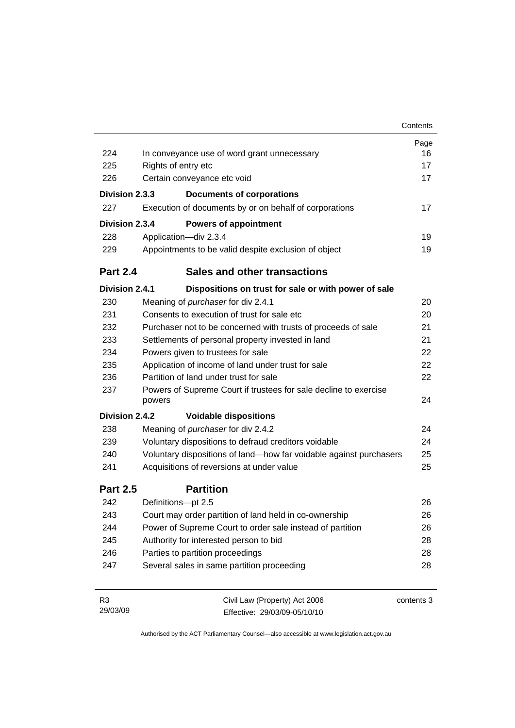|                 |                                                                            | Contents   |
|-----------------|----------------------------------------------------------------------------|------------|
|                 |                                                                            | Page       |
| 224             | In conveyance use of word grant unnecessary                                | 16         |
| 225             | Rights of entry etc                                                        | 17         |
| 226             | Certain conveyance etc void                                                | 17         |
| Division 2.3.3  | <b>Documents of corporations</b>                                           |            |
| 227             | Execution of documents by or on behalf of corporations                     | 17         |
| Division 2.3.4  | <b>Powers of appointment</b>                                               |            |
| 228             | Application-div 2.3.4                                                      | 19         |
| 229             | Appointments to be valid despite exclusion of object                       | 19         |
| <b>Part 2.4</b> | <b>Sales and other transactions</b>                                        |            |
| Division 2.4.1  | Dispositions on trust for sale or with power of sale                       |            |
| 230             | Meaning of <i>purchaser</i> for div 2.4.1                                  | 20         |
| 231             | Consents to execution of trust for sale etc.                               | 20         |
| 232             | Purchaser not to be concerned with trusts of proceeds of sale              | 21         |
| 233             | Settlements of personal property invested in land                          | 21         |
| 234             | Powers given to trustees for sale                                          | 22         |
| 235             | Application of income of land under trust for sale                         | 22         |
| 236             | Partition of land under trust for sale                                     | 22         |
| 237             | Powers of Supreme Court if trustees for sale decline to exercise<br>powers | 24         |
| Division 2.4.2  | <b>Voidable dispositions</b>                                               |            |
| 238             | Meaning of purchaser for div 2.4.2                                         | 24         |
| 239             | Voluntary dispositions to defraud creditors voidable                       | 24         |
| 240             | Voluntary dispositions of land-how far voidable against purchasers         | 25         |
| 241             | Acquisitions of reversions at under value                                  | 25         |
| <b>Part 2.5</b> | <b>Partition</b>                                                           |            |
| 242             | Definitions-pt 2.5                                                         | 26         |
| 243             | Court may order partition of land held in co-ownership                     | 26         |
| 244             | Power of Supreme Court to order sale instead of partition                  | 26         |
| 245             | Authority for interested person to bid                                     | 28         |
| 246             | Parties to partition proceedings                                           | 28         |
| 247             | Several sales in same partition proceeding                                 | 28         |
| R <sub>3</sub>  | Civil Law (Property) Act 2006                                              | contents 3 |

29/03/09 Effective: 29/03/09-05/10/10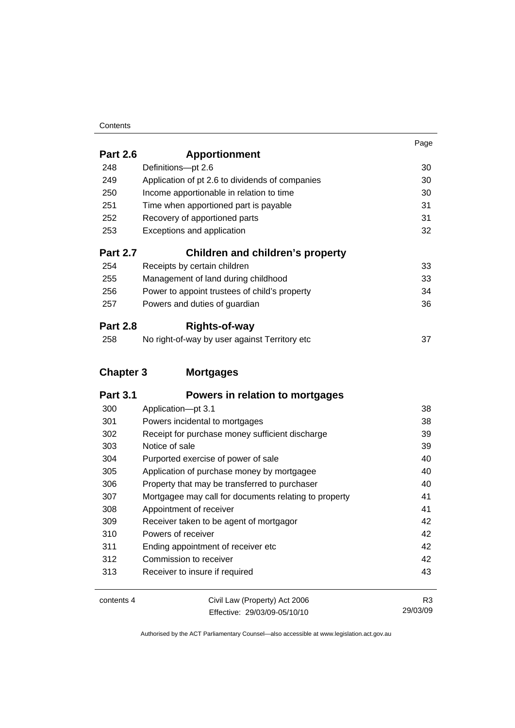#### **Contents**

|                  |                                                 | Page |
|------------------|-------------------------------------------------|------|
| <b>Part 2.6</b>  | <b>Apportionment</b>                            |      |
| 248              | Definitions-pt 2.6                              | 30   |
| 249              | Application of pt 2.6 to dividends of companies | 30   |
| 250              | Income apportionable in relation to time        | 30   |
| 251              | Time when apportioned part is payable           | 31   |
| 252              | Recovery of apportioned parts                   | 31   |
| 253              | Exceptions and application                      | 32   |
| <b>Part 2.7</b>  | Children and children's property                |      |
| 254              | Receipts by certain children                    | 33   |
| 255              | Management of land during childhood             | 33   |
| 256              | Power to appoint trustees of child's property   | 34   |
| 257              | Powers and duties of guardian                   | 36   |
| <b>Part 2.8</b>  | <b>Rights-of-way</b>                            |      |
| 258              | No right-of-way by user against Territory etc   | 37   |
| <b>Chapter 3</b> | <b>Mortgages</b>                                |      |
| <b>Part 3.1</b>  | Powers in relation to mortgages                 |      |
| 300              | Application-pt 3.1                              | 38   |
| 301              | Powers incidental to mortgages                  | 38   |
| 302              | Receipt for purchase money sufficient discharge | 39   |
| 303              | Notice of sale                                  | 39   |

| 303 | Notice of sale                                        | 39 |
|-----|-------------------------------------------------------|----|
| 304 | Purported exercise of power of sale                   | 40 |
| 305 | Application of purchase money by mortgagee            | 40 |
| 306 | Property that may be transferred to purchaser         | 40 |
| 307 | Mortgagee may call for documents relating to property | 41 |
| 308 | Appointment of receiver                               | 41 |
| 309 | Receiver taken to be agent of mortgagor               | 42 |
| 310 | Powers of receiver                                    | 42 |
| 311 | Ending appointment of receiver etc                    | 42 |
| 312 | Commission to receiver                                | 42 |
| 313 | Receiver to insure if required                        | 43 |
|     |                                                       |    |

| contents 4 | Civil Law (Property) Act 2006 | R3       |
|------------|-------------------------------|----------|
|            | Effective: 29/03/09-05/10/10  | 29/03/09 |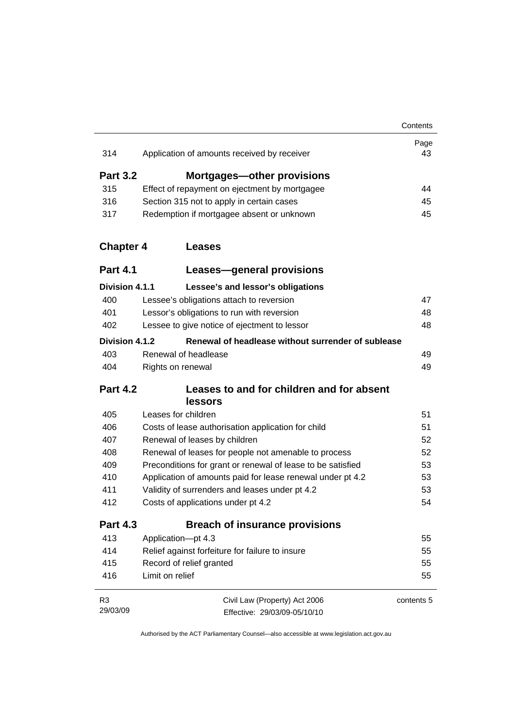| 314              | Application of amounts received by receiver                 | Page<br>43 |
|------------------|-------------------------------------------------------------|------------|
| <b>Part 3.2</b>  | <b>Mortgages-other provisions</b>                           |            |
| 315              | Effect of repayment on ejectment by mortgagee               | 44         |
| 316              | Section 315 not to apply in certain cases                   | 45         |
| 317              | Redemption if mortgagee absent or unknown                   | 45         |
| <b>Chapter 4</b> | <b>Leases</b>                                               |            |
| <b>Part 4.1</b>  | Leases-general provisions                                   |            |
| Division 4.1.1   | Lessee's and lessor's obligations                           |            |
| 400              | Lessee's obligations attach to reversion                    | 47         |
| 401              | Lessor's obligations to run with reversion                  | 48         |
| 402              | Lessee to give notice of ejectment to lessor                | 48         |
| Division 4.1.2   | Renewal of headlease without surrender of sublease          |            |
| 403              | Renewal of headlease                                        | 49         |
| 404              | Rights on renewal                                           | 49         |
| <b>Part 4.2</b>  | Leases to and for children and for absent<br>lessors        |            |
| 405              | Leases for children                                         | 51         |
| 406              | Costs of lease authorisation application for child          | 51         |
| 407              | Renewal of leases by children                               | 52         |
| 408              | Renewal of leases for people not amenable to process        | 52         |
| 409              | Preconditions for grant or renewal of lease to be satisfied | 53         |
| 410              | Application of amounts paid for lease renewal under pt 4.2  | 53         |
| 411              | Validity of surrenders and leases under pt 4.2              | 53         |
| 412              | Costs of applications under pt 4.2                          | 54         |
| <b>Part 4.3</b>  | <b>Breach of insurance provisions</b>                       |            |
| 413              | Application-pt 4.3                                          | 55         |
| 414              | Relief against forfeiture for failure to insure             | 55         |
| 415              | Record of relief granted                                    | 55         |
| 416              | Limit on relief                                             | 55         |
| R <sub>3</sub>   | Civil Law (Property) Act 2006                               | contents 5 |
| 29/03/09         | Effective: 29/03/09-05/10/10                                |            |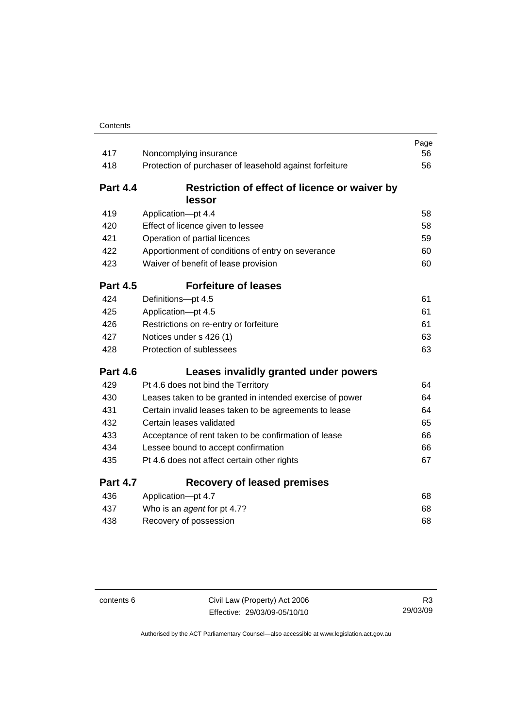| 417             | Noncomplying insurance                                   | Page<br>56 |
|-----------------|----------------------------------------------------------|------------|
| 418             | Protection of purchaser of leasehold against forfeiture  | 56         |
|                 |                                                          |            |
| <b>Part 4.4</b> | Restriction of effect of licence or waiver by            |            |
|                 | lessor                                                   |            |
| 419             | Application-pt 4.4                                       | 58         |
| 420             | Effect of licence given to lessee                        | 58         |
| 421             | Operation of partial licences                            | 59         |
| 422             | Apportionment of conditions of entry on severance        | 60         |
| 423             | Waiver of benefit of lease provision                     | 60         |
| <b>Part 4.5</b> | <b>Forfeiture of leases</b>                              |            |
| 424             | Definitions-pt 4.5                                       | 61         |
| 425             | Application-pt 4.5                                       | 61         |
| 426             | Restrictions on re-entry or forfeiture                   | 61         |
| 427             | Notices under s 426 (1)                                  | 63         |
| 428             | Protection of sublessees                                 | 63         |
| <b>Part 4.6</b> | Leases invalidly granted under powers                    |            |
| 429             | Pt 4.6 does not bind the Territory                       | 64         |
| 430             | Leases taken to be granted in intended exercise of power | 64         |
| 431             | Certain invalid leases taken to be agreements to lease   | 64         |
| 432             | Certain leases validated                                 | 65         |
| 433             | Acceptance of rent taken to be confirmation of lease     | 66         |
| 434             | Lessee bound to accept confirmation                      | 66         |
| 435             | Pt 4.6 does not affect certain other rights              | 67         |
| <b>Part 4.7</b> | <b>Recovery of leased premises</b>                       |            |
| 436             | Application-pt 4.7                                       | 68         |
| 437             | Who is an agent for pt 4.7?                              | 68         |
| 438             | Recovery of possession                                   | 68         |

contents 6 Civil Law (Property) Act 2006 Effective: 29/03/09-05/10/10

R3 29/03/09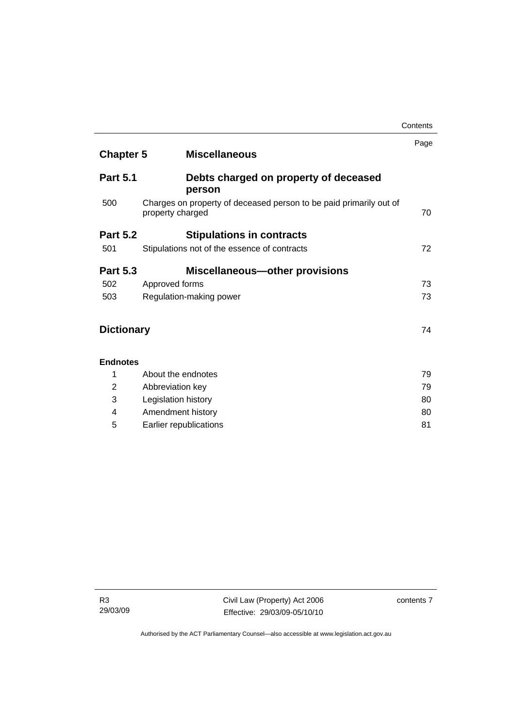|                   |                                                                                        | Page |
|-------------------|----------------------------------------------------------------------------------------|------|
| <b>Chapter 5</b>  | <b>Miscellaneous</b>                                                                   |      |
| <b>Part 5.1</b>   | Debts charged on property of deceased<br>person                                        |      |
| 500               | Charges on property of deceased person to be paid primarily out of<br>property charged | 70   |
| <b>Part 5.2</b>   | <b>Stipulations in contracts</b>                                                       |      |
| 501               | Stipulations not of the essence of contracts                                           | 72   |
| <b>Part 5.3</b>   | Miscellaneous-other provisions                                                         |      |
| 502               | Approved forms                                                                         | 73   |
| 503               | Regulation-making power                                                                | 73   |
| <b>Dictionary</b> |                                                                                        | 74   |
| <b>Endnotes</b>   |                                                                                        |      |
| 1                 | About the endnotes                                                                     | 79   |
| $\overline{2}$    | Abbreviation key                                                                       | 79   |
| 3                 | Legislation history                                                                    | 80   |
| 4                 | Amendment history                                                                      | 80   |
| 5                 | Earlier republications                                                                 | 81   |

**Contents**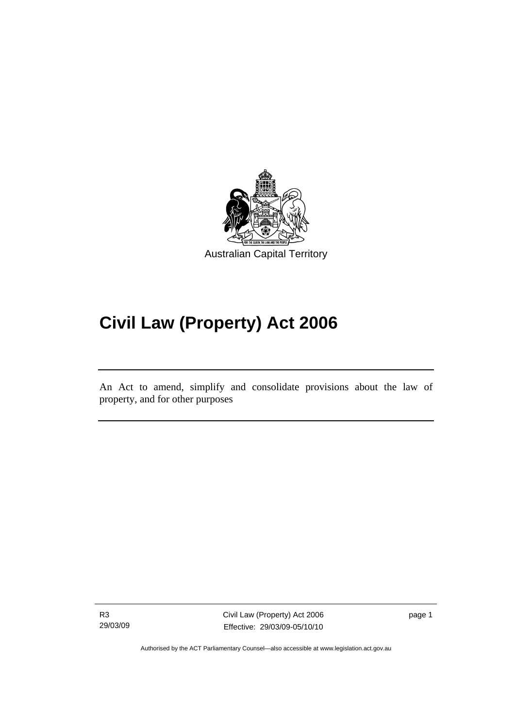<span id="page-10-0"></span>

# **Civil Law (Property) Act 2006**

An Act to amend, simplify and consolidate provisions about the law of property, and for other purposes

l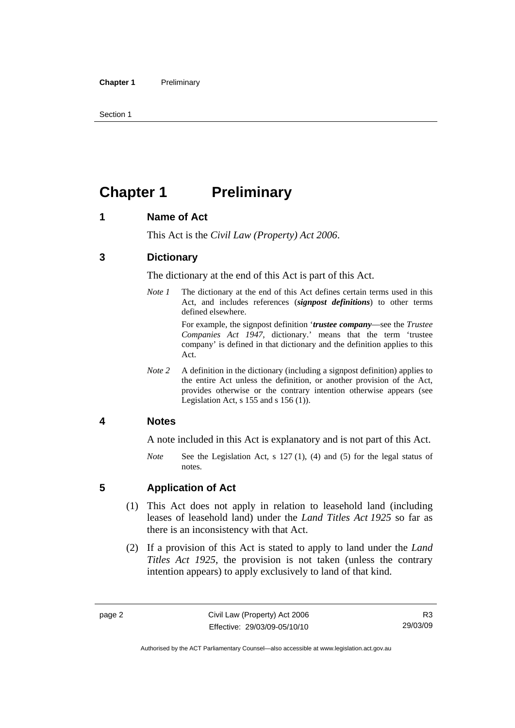<span id="page-11-0"></span>Section 1

# **Chapter 1** Preliminary

#### **1 Name of Act**

This Act is the *Civil Law (Property) Act 2006*.

#### **3 Dictionary**

The dictionary at the end of this Act is part of this Act.

*Note 1* The dictionary at the end of this Act defines certain terms used in this Act, and includes references (*signpost definitions*) to other terms defined elsewhere.

> For example, the signpost definition '*trustee company*—see the *Trustee Companies Act 1947*, dictionary.' means that the term 'trustee company' is defined in that dictionary and the definition applies to this Act.

*Note 2* A definition in the dictionary (including a signpost definition) applies to the entire Act unless the definition, or another provision of the Act, provides otherwise or the contrary intention otherwise appears (see Legislation Act, s 155 and s 156 (1)).

#### **4 Notes**

A note included in this Act is explanatory and is not part of this Act.

*Note* See the Legislation Act, s 127 (1), (4) and (5) for the legal status of notes.

#### **5 Application of Act**

- (1) This Act does not apply in relation to leasehold land (including leases of leasehold land) under the *Land Titles Act 1925* so far as there is an inconsistency with that Act.
- (2) If a provision of this Act is stated to apply to land under the *Land Titles Act 1925*, the provision is not taken (unless the contrary intention appears) to apply exclusively to land of that kind.

R3 29/03/09

Authorised by the ACT Parliamentary Counsel—also accessible at www.legislation.act.gov.au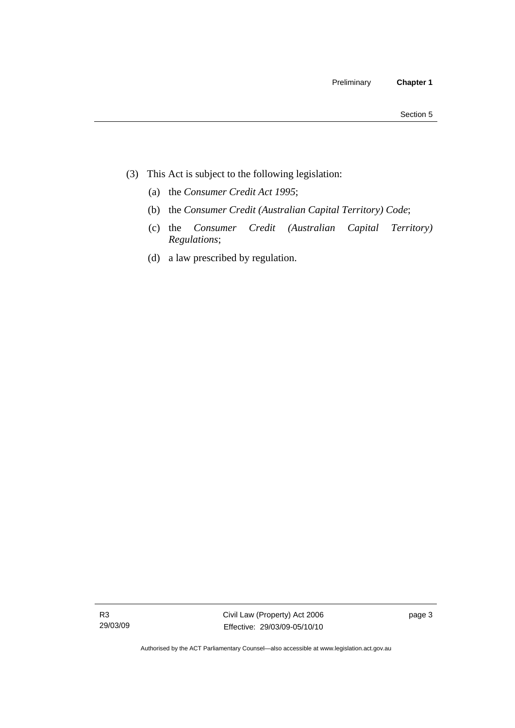- (3) This Act is subject to the following legislation:
	- (a) the *Consumer Credit Act 1995*;
	- (b) the *Consumer Credit (Australian Capital Territory) Code*;
	- (c) the *Consumer Credit (Australian Capital Territory) Regulations*;
	- (d) a law prescribed by regulation.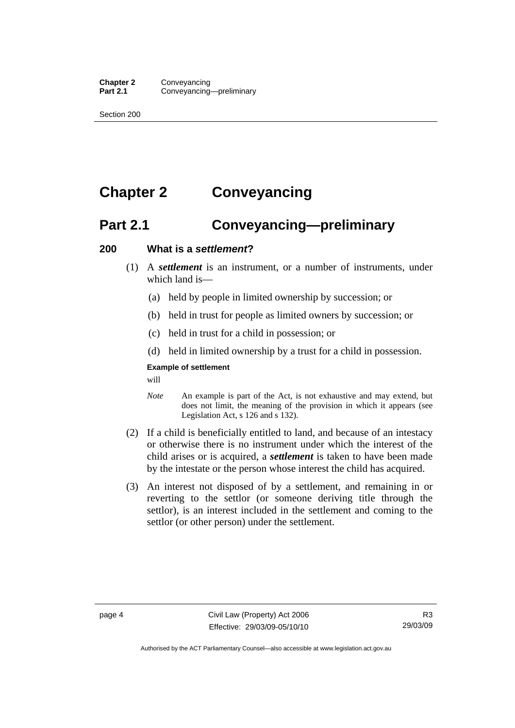<span id="page-13-0"></span>Section 200

# **Chapter 2 Conveyancing**

# **Part 2.1 Conveyancing—preliminary**

#### **200 What is a** *settlement***?**

- (1) A *settlement* is an instrument, or a number of instruments, under which land is-
	- (a) held by people in limited ownership by succession; or
	- (b) held in trust for people as limited owners by succession; or
	- (c) held in trust for a child in possession; or
	- (d) held in limited ownership by a trust for a child in possession.

#### **Example of settlement**

will

- *Note* An example is part of the Act, is not exhaustive and may extend, but does not limit, the meaning of the provision in which it appears (see Legislation Act, s 126 and s 132).
- (2) If a child is beneficially entitled to land, and because of an intestacy or otherwise there is no instrument under which the interest of the child arises or is acquired, a *settlement* is taken to have been made by the intestate or the person whose interest the child has acquired.
- (3) An interest not disposed of by a settlement, and remaining in or reverting to the settlor (or someone deriving title through the settlor), is an interest included in the settlement and coming to the settlor (or other person) under the settlement.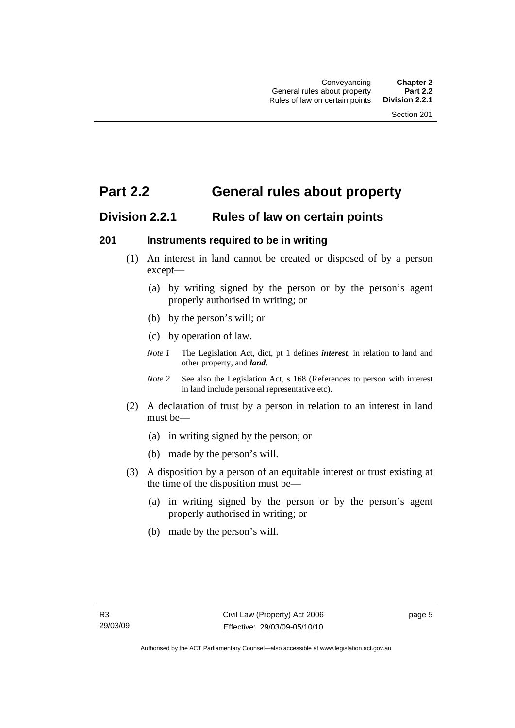# <span id="page-14-0"></span>**Part 2.2 General rules about property**

### **Division 2.2.1 Rules of law on certain points**

#### **201 Instruments required to be in writing**

- (1) An interest in land cannot be created or disposed of by a person except—
	- (a) by writing signed by the person or by the person's agent properly authorised in writing; or
	- (b) by the person's will; or
	- (c) by operation of law.
	- *Note 1* The Legislation Act, dict, pt 1 defines *interest*, in relation to land and other property, and *land*.
	- *Note 2* See also the Legislation Act, s 168 (References to person with interest in land include personal representative etc).
- (2) A declaration of trust by a person in relation to an interest in land must be—
	- (a) in writing signed by the person; or
	- (b) made by the person's will.
- (3) A disposition by a person of an equitable interest or trust existing at the time of the disposition must be—
	- (a) in writing signed by the person or by the person's agent properly authorised in writing; or
	- (b) made by the person's will.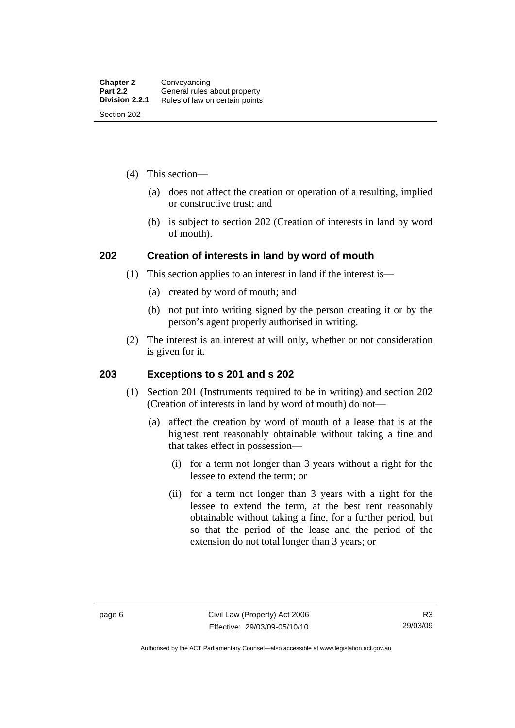- <span id="page-15-0"></span> (4) This section—
	- (a) does not affect the creation or operation of a resulting, implied or constructive trust; and
	- (b) is subject to section 202 (Creation of interests in land by word of mouth).

#### **202 Creation of interests in land by word of mouth**

- (1) This section applies to an interest in land if the interest is—
	- (a) created by word of mouth; and
	- (b) not put into writing signed by the person creating it or by the person's agent properly authorised in writing.
- (2) The interest is an interest at will only, whether or not consideration is given for it.

#### **203 Exceptions to s 201 and s 202**

- (1) Section 201 (Instruments required to be in writing) and section 202 (Creation of interests in land by word of mouth) do not—
	- (a) affect the creation by word of mouth of a lease that is at the highest rent reasonably obtainable without taking a fine and that takes effect in possession—
		- (i) for a term not longer than 3 years without a right for the lessee to extend the term; or
		- (ii) for a term not longer than 3 years with a right for the lessee to extend the term, at the best rent reasonably obtainable without taking a fine, for a further period, but so that the period of the lease and the period of the extension do not total longer than 3 years; or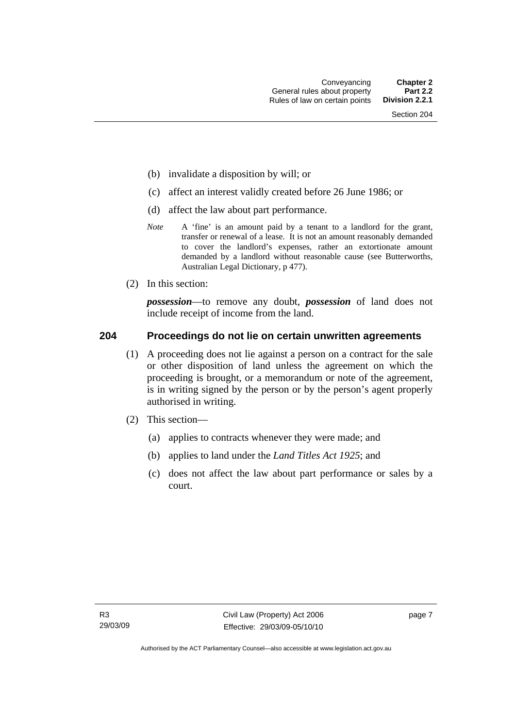- <span id="page-16-0"></span>(b) invalidate a disposition by will; or
- (c) affect an interest validly created before 26 June 1986; or
- (d) affect the law about part performance.
- *Note* A 'fine' is an amount paid by a tenant to a landlord for the grant, transfer or renewal of a lease. It is not an amount reasonably demanded to cover the landlord's expenses, rather an extortionate amount demanded by a landlord without reasonable cause (see Butterworths, Australian Legal Dictionary, p 477).
- (2) In this section:

*possession*—to remove any doubt, *possession* of land does not include receipt of income from the land.

#### **204 Proceedings do not lie on certain unwritten agreements**

- (1) A proceeding does not lie against a person on a contract for the sale or other disposition of land unless the agreement on which the proceeding is brought, or a memorandum or note of the agreement, is in writing signed by the person or by the person's agent properly authorised in writing.
- (2) This section—
	- (a) applies to contracts whenever they were made; and
	- (b) applies to land under the *Land Titles Act 1925*; and
	- (c) does not affect the law about part performance or sales by a court.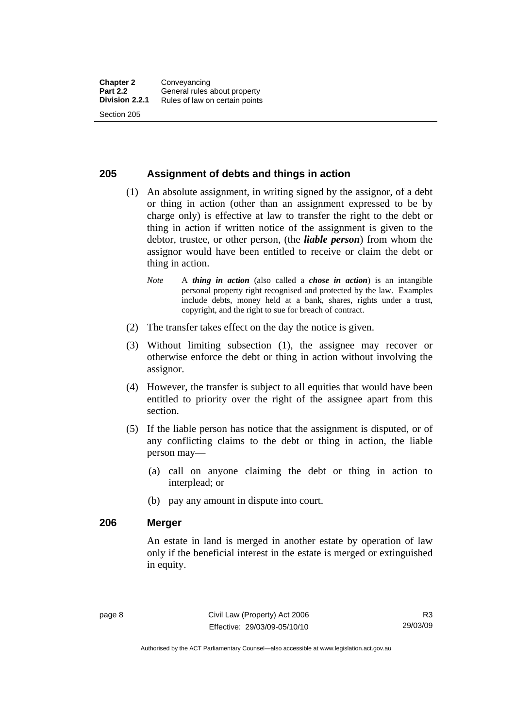#### <span id="page-17-0"></span>**205 Assignment of debts and things in action**

- (1) An absolute assignment, in writing signed by the assignor, of a debt or thing in action (other than an assignment expressed to be by charge only) is effective at law to transfer the right to the debt or thing in action if written notice of the assignment is given to the debtor, trustee, or other person, (the *liable person*) from whom the assignor would have been entitled to receive or claim the debt or thing in action.
	- *Note* A *thing in action* (also called a *chose in action*) is an intangible personal property right recognised and protected by the law. Examples include debts, money held at a bank, shares, rights under a trust, copyright, and the right to sue for breach of contract.
- (2) The transfer takes effect on the day the notice is given.
- (3) Without limiting subsection (1), the assignee may recover or otherwise enforce the debt or thing in action without involving the assignor.
- (4) However, the transfer is subject to all equities that would have been entitled to priority over the right of the assignee apart from this section.
- (5) If the liable person has notice that the assignment is disputed, or of any conflicting claims to the debt or thing in action, the liable person may—
	- (a) call on anyone claiming the debt or thing in action to interplead; or
	- (b) pay any amount in dispute into court.

#### **206 Merger**

An estate in land is merged in another estate by operation of law only if the beneficial interest in the estate is merged or extinguished in equity.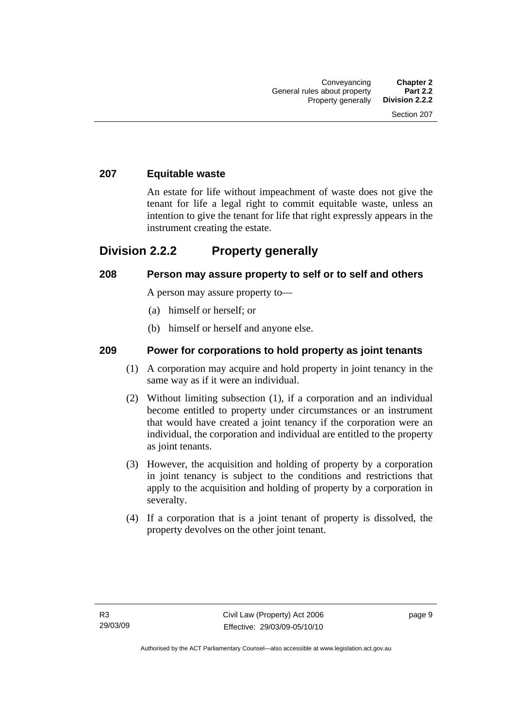#### <span id="page-18-0"></span>**207 Equitable waste**

An estate for life without impeachment of waste does not give the tenant for life a legal right to commit equitable waste, unless an intention to give the tenant for life that right expressly appears in the instrument creating the estate.

### **Division 2.2.2 Property generally**

#### **208 Person may assure property to self or to self and others**

A person may assure property to—

- (a) himself or herself; or
- (b) himself or herself and anyone else.

#### **209 Power for corporations to hold property as joint tenants**

- (1) A corporation may acquire and hold property in joint tenancy in the same way as if it were an individual.
- (2) Without limiting subsection (1), if a corporation and an individual become entitled to property under circumstances or an instrument that would have created a joint tenancy if the corporation were an individual, the corporation and individual are entitled to the property as joint tenants.
- (3) However, the acquisition and holding of property by a corporation in joint tenancy is subject to the conditions and restrictions that apply to the acquisition and holding of property by a corporation in severalty.
- (4) If a corporation that is a joint tenant of property is dissolved, the property devolves on the other joint tenant.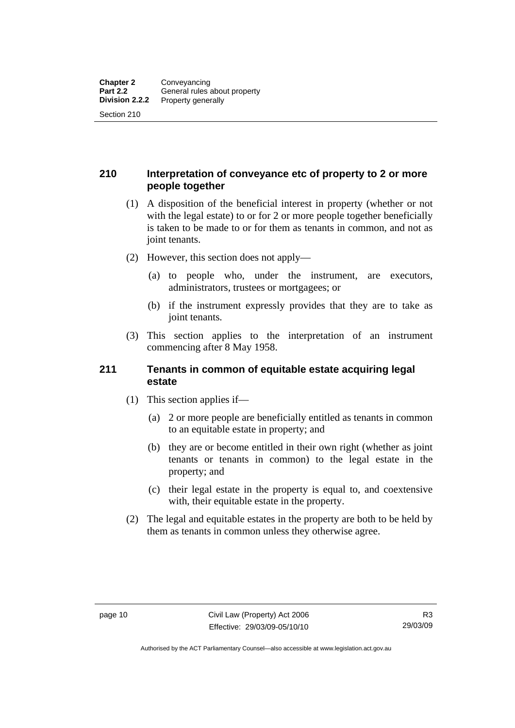#### <span id="page-19-0"></span>**210 Interpretation of conveyance etc of property to 2 or more people together**

- (1) A disposition of the beneficial interest in property (whether or not with the legal estate) to or for 2 or more people together beneficially is taken to be made to or for them as tenants in common, and not as joint tenants.
- (2) However, this section does not apply—
	- (a) to people who, under the instrument, are executors, administrators, trustees or mortgagees; or
	- (b) if the instrument expressly provides that they are to take as joint tenants.
- (3) This section applies to the interpretation of an instrument commencing after 8 May 1958.

#### **211 Tenants in common of equitable estate acquiring legal estate**

- (1) This section applies if—
	- (a) 2 or more people are beneficially entitled as tenants in common to an equitable estate in property; and
	- (b) they are or become entitled in their own right (whether as joint tenants or tenants in common) to the legal estate in the property; and
	- (c) their legal estate in the property is equal to, and coextensive with, their equitable estate in the property.
- (2) The legal and equitable estates in the property are both to be held by them as tenants in common unless they otherwise agree.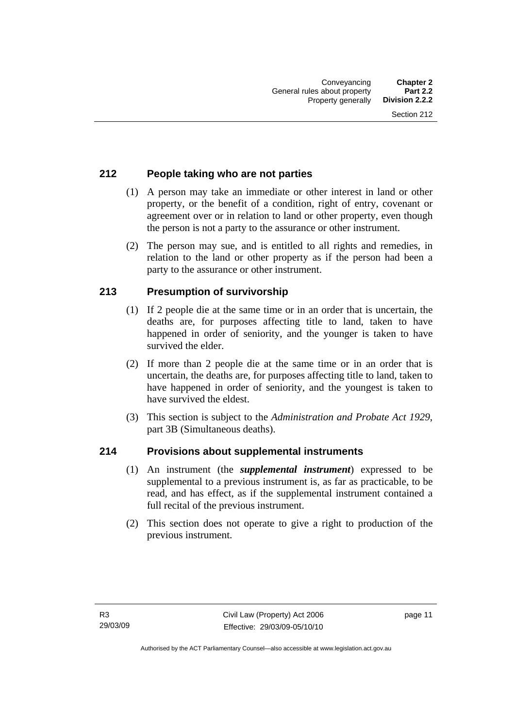#### <span id="page-20-0"></span>**212 People taking who are not parties**

- (1) A person may take an immediate or other interest in land or other property, or the benefit of a condition, right of entry, covenant or agreement over or in relation to land or other property, even though the person is not a party to the assurance or other instrument.
- (2) The person may sue, and is entitled to all rights and remedies, in relation to the land or other property as if the person had been a party to the assurance or other instrument.

#### **213 Presumption of survivorship**

- (1) If 2 people die at the same time or in an order that is uncertain, the deaths are, for purposes affecting title to land, taken to have happened in order of seniority, and the younger is taken to have survived the elder.
- (2) If more than 2 people die at the same time or in an order that is uncertain, the deaths are, for purposes affecting title to land, taken to have happened in order of seniority, and the youngest is taken to have survived the eldest.
- (3) This section is subject to the *Administration and Probate Act 1929*, part 3B (Simultaneous deaths).

#### **214 Provisions about supplemental instruments**

- (1) An instrument (the *supplemental instrument*) expressed to be supplemental to a previous instrument is, as far as practicable, to be read, and has effect, as if the supplemental instrument contained a full recital of the previous instrument.
- (2) This section does not operate to give a right to production of the previous instrument.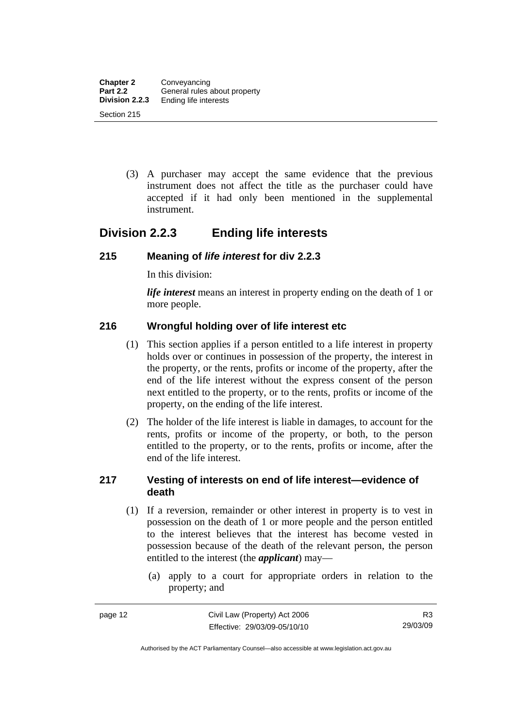<span id="page-21-0"></span> (3) A purchaser may accept the same evidence that the previous instrument does not affect the title as the purchaser could have accepted if it had only been mentioned in the supplemental instrument.

## **Division 2.2.3 Ending life interests**

#### **215 Meaning of** *life interest* **for div 2.2.3**

In this division:

*life interest* means an interest in property ending on the death of 1 or more people.

#### **216 Wrongful holding over of life interest etc**

- (1) This section applies if a person entitled to a life interest in property holds over or continues in possession of the property, the interest in the property, or the rents, profits or income of the property, after the end of the life interest without the express consent of the person next entitled to the property, or to the rents, profits or income of the property, on the ending of the life interest.
- (2) The holder of the life interest is liable in damages, to account for the rents, profits or income of the property, or both, to the person entitled to the property, or to the rents, profits or income, after the end of the life interest.

#### **217 Vesting of interests on end of life interest—evidence of death**

- (1) If a reversion, remainder or other interest in property is to vest in possession on the death of 1 or more people and the person entitled to the interest believes that the interest has become vested in possession because of the death of the relevant person, the person entitled to the interest (the *applicant*) may—
	- (a) apply to a court for appropriate orders in relation to the property; and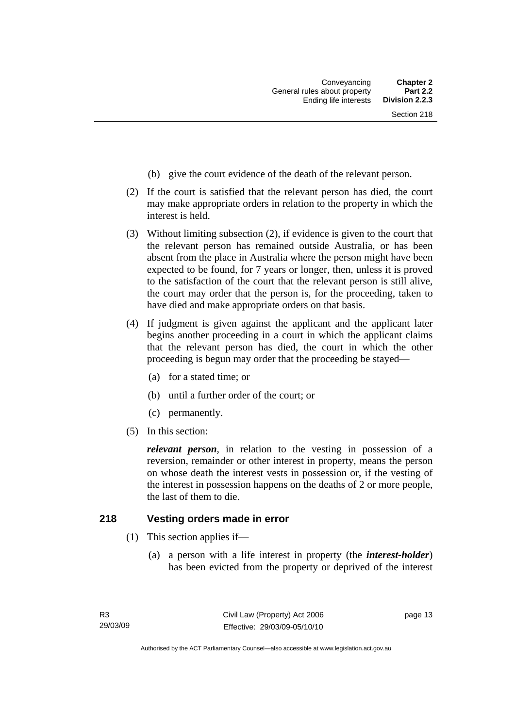- <span id="page-22-0"></span>(b) give the court evidence of the death of the relevant person.
- (2) If the court is satisfied that the relevant person has died, the court may make appropriate orders in relation to the property in which the interest is held.
- (3) Without limiting subsection (2), if evidence is given to the court that the relevant person has remained outside Australia, or has been absent from the place in Australia where the person might have been expected to be found, for 7 years or longer, then, unless it is proved to the satisfaction of the court that the relevant person is still alive, the court may order that the person is, for the proceeding, taken to have died and make appropriate orders on that basis.
- (4) If judgment is given against the applicant and the applicant later begins another proceeding in a court in which the applicant claims that the relevant person has died, the court in which the other proceeding is begun may order that the proceeding be stayed—
	- (a) for a stated time; or
	- (b) until a further order of the court; or
	- (c) permanently.
- (5) In this section:

*relevant person*, in relation to the vesting in possession of a reversion, remainder or other interest in property, means the person on whose death the interest vests in possession or, if the vesting of the interest in possession happens on the deaths of 2 or more people, the last of them to die.

#### **218 Vesting orders made in error**

- (1) This section applies if—
	- (a) a person with a life interest in property (the *interest-holder*) has been evicted from the property or deprived of the interest

page 13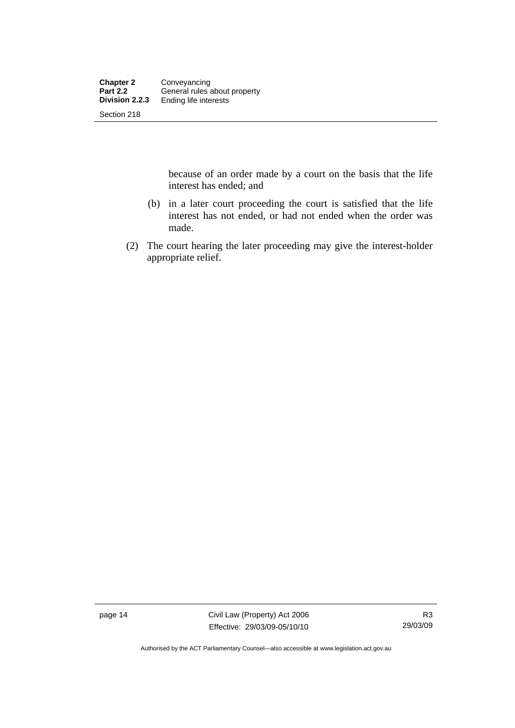because of an order made by a court on the basis that the life interest has ended; and

- (b) in a later court proceeding the court is satisfied that the life interest has not ended, or had not ended when the order was made.
- (2) The court hearing the later proceeding may give the interest-holder appropriate relief.

page 14 Civil Law (Property) Act 2006 Effective: 29/03/09-05/10/10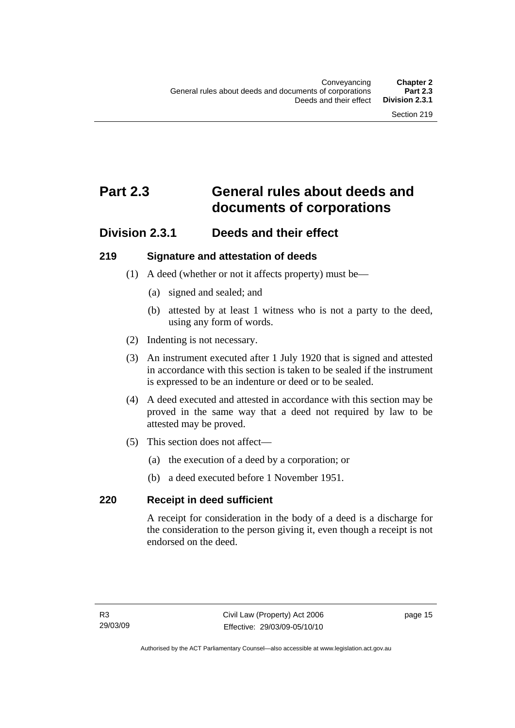# <span id="page-24-0"></span>**Part 2.3 General rules about deeds and documents of corporations**

### **Division 2.3.1 Deeds and their effect**

#### **219 Signature and attestation of deeds**

- (1) A deed (whether or not it affects property) must be—
	- (a) signed and sealed; and
	- (b) attested by at least 1 witness who is not a party to the deed, using any form of words.
- (2) Indenting is not necessary.
- (3) An instrument executed after 1 July 1920 that is signed and attested in accordance with this section is taken to be sealed if the instrument is expressed to be an indenture or deed or to be sealed.
- (4) A deed executed and attested in accordance with this section may be proved in the same way that a deed not required by law to be attested may be proved.
- (5) This section does not affect—
	- (a) the execution of a deed by a corporation; or
	- (b) a deed executed before 1 November 1951.

#### **220 Receipt in deed sufficient**

A receipt for consideration in the body of a deed is a discharge for the consideration to the person giving it, even though a receipt is not endorsed on the deed.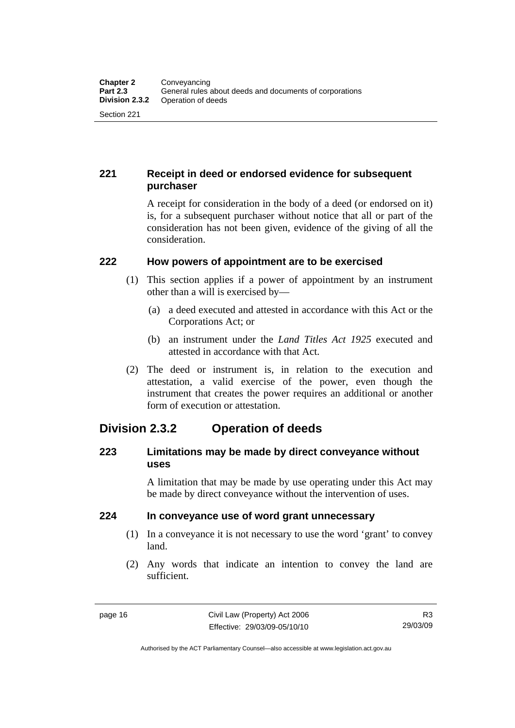#### <span id="page-25-0"></span>**221 Receipt in deed or endorsed evidence for subsequent purchaser**

A receipt for consideration in the body of a deed (or endorsed on it) is, for a subsequent purchaser without notice that all or part of the consideration has not been given, evidence of the giving of all the consideration.

#### **222 How powers of appointment are to be exercised**

- (1) This section applies if a power of appointment by an instrument other than a will is exercised by—
	- (a) a deed executed and attested in accordance with this Act or the Corporations Act; or
	- (b) an instrument under the *Land Titles Act 1925* executed and attested in accordance with that Act.
- (2) The deed or instrument is, in relation to the execution and attestation, a valid exercise of the power, even though the instrument that creates the power requires an additional or another form of execution or attestation.

# **Division 2.3.2 Operation of deeds**

#### **223 Limitations may be made by direct conveyance without uses**

A limitation that may be made by use operating under this Act may be made by direct conveyance without the intervention of uses.

#### **224 In conveyance use of word grant unnecessary**

- (1) In a conveyance it is not necessary to use the word 'grant' to convey land.
- (2) Any words that indicate an intention to convey the land are sufficient.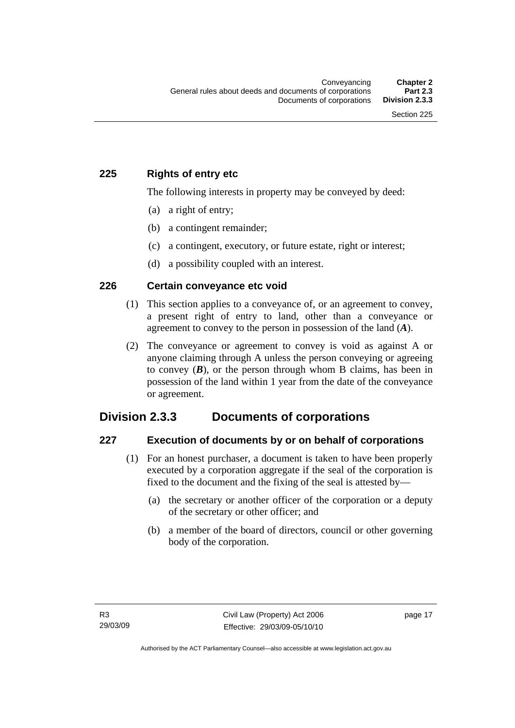#### <span id="page-26-0"></span>**225 Rights of entry etc**

The following interests in property may be conveyed by deed:

- (a) a right of entry;
- (b) a contingent remainder;
- (c) a contingent, executory, or future estate, right or interest;
- (d) a possibility coupled with an interest.

#### **226 Certain conveyance etc void**

- (1) This section applies to a conveyance of, or an agreement to convey, a present right of entry to land, other than a conveyance or agreement to convey to the person in possession of the land (*A*).
- (2) The conveyance or agreement to convey is void as against A or anyone claiming through A unless the person conveying or agreeing to convey  $(B)$ , or the person through whom B claims, has been in possession of the land within 1 year from the date of the conveyance or agreement.

## **Division 2.3.3 Documents of corporations**

#### **227 Execution of documents by or on behalf of corporations**

- (1) For an honest purchaser, a document is taken to have been properly executed by a corporation aggregate if the seal of the corporation is fixed to the document and the fixing of the seal is attested by—
	- (a) the secretary or another officer of the corporation or a deputy of the secretary or other officer; and
	- (b) a member of the board of directors, council or other governing body of the corporation.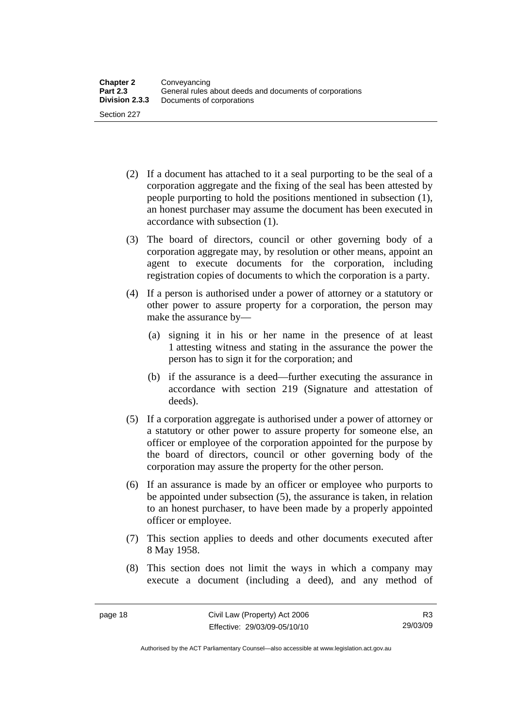- (2) If a document has attached to it a seal purporting to be the seal of a corporation aggregate and the fixing of the seal has been attested by people purporting to hold the positions mentioned in subsection (1), an honest purchaser may assume the document has been executed in accordance with subsection (1).
- (3) The board of directors, council or other governing body of a corporation aggregate may, by resolution or other means, appoint an agent to execute documents for the corporation, including registration copies of documents to which the corporation is a party.
- (4) If a person is authorised under a power of attorney or a statutory or other power to assure property for a corporation, the person may make the assurance by—
	- (a) signing it in his or her name in the presence of at least 1 attesting witness and stating in the assurance the power the person has to sign it for the corporation; and
	- (b) if the assurance is a deed—further executing the assurance in accordance with section 219 (Signature and attestation of deeds).
- (5) If a corporation aggregate is authorised under a power of attorney or a statutory or other power to assure property for someone else, an officer or employee of the corporation appointed for the purpose by the board of directors, council or other governing body of the corporation may assure the property for the other person.
- (6) If an assurance is made by an officer or employee who purports to be appointed under subsection (5), the assurance is taken, in relation to an honest purchaser, to have been made by a properly appointed officer or employee.
- (7) This section applies to deeds and other documents executed after 8 May 1958.
- (8) This section does not limit the ways in which a company may execute a document (including a deed), and any method of

Authorised by the ACT Parliamentary Counsel—also accessible at www.legislation.act.gov.au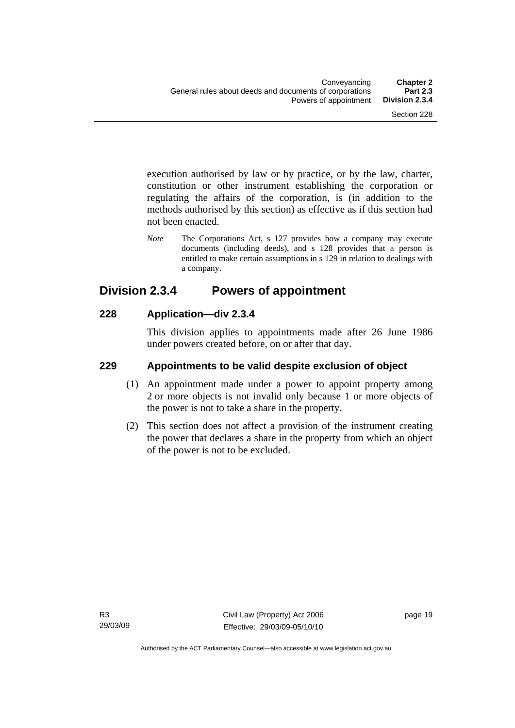<span id="page-28-0"></span>execution authorised by law or by practice, or by the law, charter, constitution or other instrument establishing the corporation or regulating the affairs of the corporation, is (in addition to the methods authorised by this section) as effective as if this section had not been enacted.

*Note* The Corporations Act, s 127 provides how a company may execute documents (including deeds), and s 128 provides that a person is entitled to make certain assumptions in s 129 in relation to dealings with a company.

## **Division 2.3.4 Powers of appointment**

#### **228 Application—div 2.3.4**

This division applies to appointments made after 26 June 1986 under powers created before, on or after that day.

#### **229 Appointments to be valid despite exclusion of object**

- (1) An appointment made under a power to appoint property among 2 or more objects is not invalid only because 1 or more objects of the power is not to take a share in the property.
- (2) This section does not affect a provision of the instrument creating the power that declares a share in the property from which an object of the power is not to be excluded.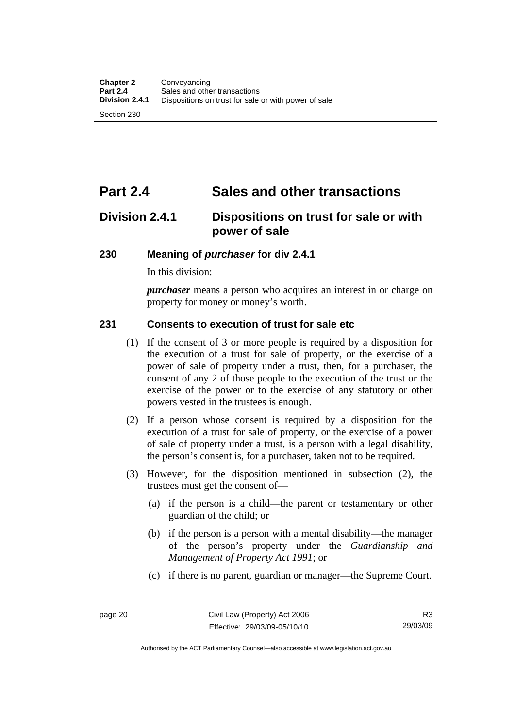# <span id="page-29-0"></span>**Part 2.4 Sales and other transactions**

# **Division 2.4.1 Dispositions on trust for sale or with power of sale**

#### **230 Meaning of** *purchaser* **for div 2.4.1**

In this division:

*purchaser* means a person who acquires an interest in or charge on property for money or money's worth.

#### **231 Consents to execution of trust for sale etc**

- (1) If the consent of 3 or more people is required by a disposition for the execution of a trust for sale of property, or the exercise of a power of sale of property under a trust, then, for a purchaser, the consent of any 2 of those people to the execution of the trust or the exercise of the power or to the exercise of any statutory or other powers vested in the trustees is enough.
- (2) If a person whose consent is required by a disposition for the execution of a trust for sale of property, or the exercise of a power of sale of property under a trust, is a person with a legal disability, the person's consent is, for a purchaser, taken not to be required.
- (3) However, for the disposition mentioned in subsection (2), the trustees must get the consent of—
	- (a) if the person is a child—the parent or testamentary or other guardian of the child; or
	- (b) if the person is a person with a mental disability—the manager of the person's property under the *Guardianship and Management of Property Act 1991*; or
	- (c) if there is no parent, guardian or manager—the Supreme Court.

Authorised by the ACT Parliamentary Counsel—also accessible at www.legislation.act.gov.au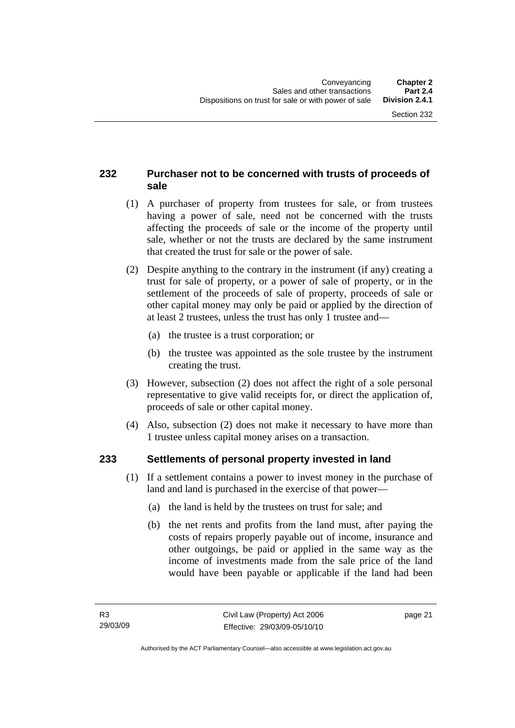#### <span id="page-30-0"></span>**232 Purchaser not to be concerned with trusts of proceeds of sale**

- (1) A purchaser of property from trustees for sale, or from trustees having a power of sale, need not be concerned with the trusts affecting the proceeds of sale or the income of the property until sale, whether or not the trusts are declared by the same instrument that created the trust for sale or the power of sale.
- (2) Despite anything to the contrary in the instrument (if any) creating a trust for sale of property, or a power of sale of property, or in the settlement of the proceeds of sale of property, proceeds of sale or other capital money may only be paid or applied by the direction of at least 2 trustees, unless the trust has only 1 trustee and—
	- (a) the trustee is a trust corporation; or
	- (b) the trustee was appointed as the sole trustee by the instrument creating the trust.
- (3) However, subsection (2) does not affect the right of a sole personal representative to give valid receipts for, or direct the application of, proceeds of sale or other capital money.
- (4) Also, subsection (2) does not make it necessary to have more than 1 trustee unless capital money arises on a transaction.

#### **233 Settlements of personal property invested in land**

- (1) If a settlement contains a power to invest money in the purchase of land and land is purchased in the exercise of that power—
	- (a) the land is held by the trustees on trust for sale; and
	- (b) the net rents and profits from the land must, after paying the costs of repairs properly payable out of income, insurance and other outgoings, be paid or applied in the same way as the income of investments made from the sale price of the land would have been payable or applicable if the land had been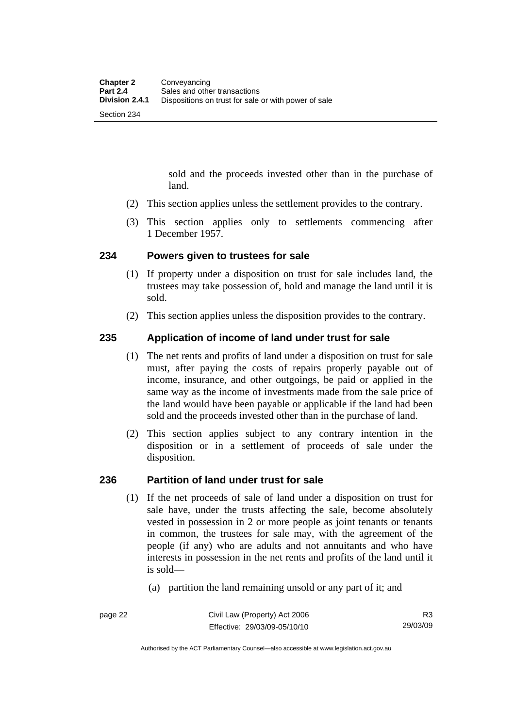sold and the proceeds invested other than in the purchase of land.

- <span id="page-31-0"></span>(2) This section applies unless the settlement provides to the contrary.
- (3) This section applies only to settlements commencing after 1 December 1957.

#### **234 Powers given to trustees for sale**

- (1) If property under a disposition on trust for sale includes land, the trustees may take possession of, hold and manage the land until it is sold.
- (2) This section applies unless the disposition provides to the contrary.

#### **235 Application of income of land under trust for sale**

- (1) The net rents and profits of land under a disposition on trust for sale must, after paying the costs of repairs properly payable out of income, insurance, and other outgoings, be paid or applied in the same way as the income of investments made from the sale price of the land would have been payable or applicable if the land had been sold and the proceeds invested other than in the purchase of land.
- (2) This section applies subject to any contrary intention in the disposition or in a settlement of proceeds of sale under the disposition.

#### **236 Partition of land under trust for sale**

- (1) If the net proceeds of sale of land under a disposition on trust for sale have, under the trusts affecting the sale, become absolutely vested in possession in 2 or more people as joint tenants or tenants in common, the trustees for sale may, with the agreement of the people (if any) who are adults and not annuitants and who have interests in possession in the net rents and profits of the land until it is sold—
	- (a) partition the land remaining unsold or any part of it; and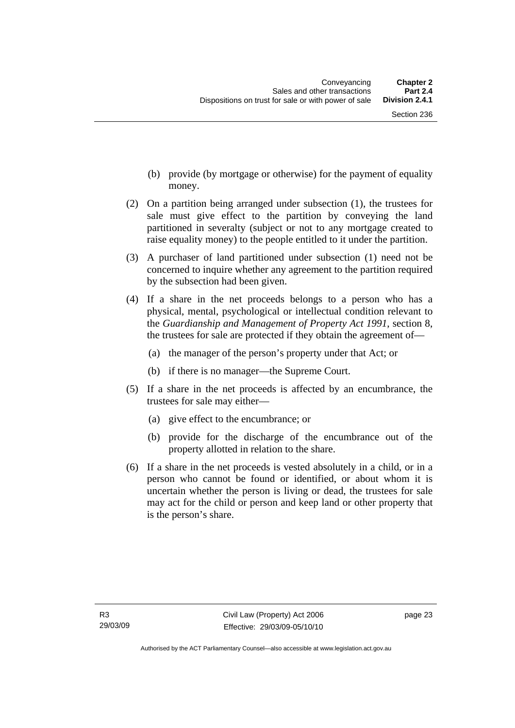- (b) provide (by mortgage or otherwise) for the payment of equality money.
- (2) On a partition being arranged under subsection (1), the trustees for sale must give effect to the partition by conveying the land partitioned in severalty (subject or not to any mortgage created to raise equality money) to the people entitled to it under the partition.
- (3) A purchaser of land partitioned under subsection (1) need not be concerned to inquire whether any agreement to the partition required by the subsection had been given.
- (4) If a share in the net proceeds belongs to a person who has a physical, mental, psychological or intellectual condition relevant to the *Guardianship and Management of Property Act 1991*, section 8, the trustees for sale are protected if they obtain the agreement of—
	- (a) the manager of the person's property under that Act; or
	- (b) if there is no manager—the Supreme Court.
- (5) If a share in the net proceeds is affected by an encumbrance, the trustees for sale may either—
	- (a) give effect to the encumbrance; or
	- (b) provide for the discharge of the encumbrance out of the property allotted in relation to the share.
- (6) If a share in the net proceeds is vested absolutely in a child, or in a person who cannot be found or identified, or about whom it is uncertain whether the person is living or dead, the trustees for sale may act for the child or person and keep land or other property that is the person's share.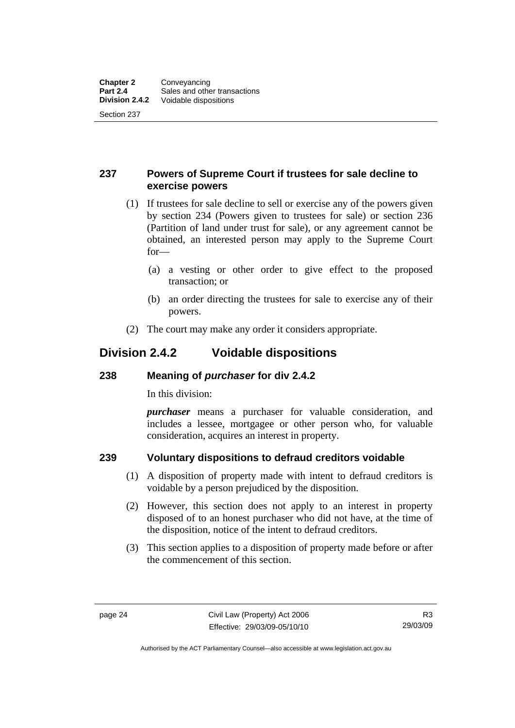#### <span id="page-33-0"></span>**237 Powers of Supreme Court if trustees for sale decline to exercise powers**

- (1) If trustees for sale decline to sell or exercise any of the powers given by section 234 (Powers given to trustees for sale) or section 236 (Partition of land under trust for sale), or any agreement cannot be obtained, an interested person may apply to the Supreme Court for—
	- (a) a vesting or other order to give effect to the proposed transaction; or
	- (b) an order directing the trustees for sale to exercise any of their powers.
- (2) The court may make any order it considers appropriate.

### **Division 2.4.2 Voidable dispositions**

#### **238 Meaning of** *purchaser* **for div 2.4.2**

In this division:

*purchaser* means a purchaser for valuable consideration, and includes a lessee, mortgagee or other person who, for valuable consideration, acquires an interest in property.

#### **239 Voluntary dispositions to defraud creditors voidable**

- (1) A disposition of property made with intent to defraud creditors is voidable by a person prejudiced by the disposition.
- (2) However, this section does not apply to an interest in property disposed of to an honest purchaser who did not have, at the time of the disposition, notice of the intent to defraud creditors.
- (3) This section applies to a disposition of property made before or after the commencement of this section.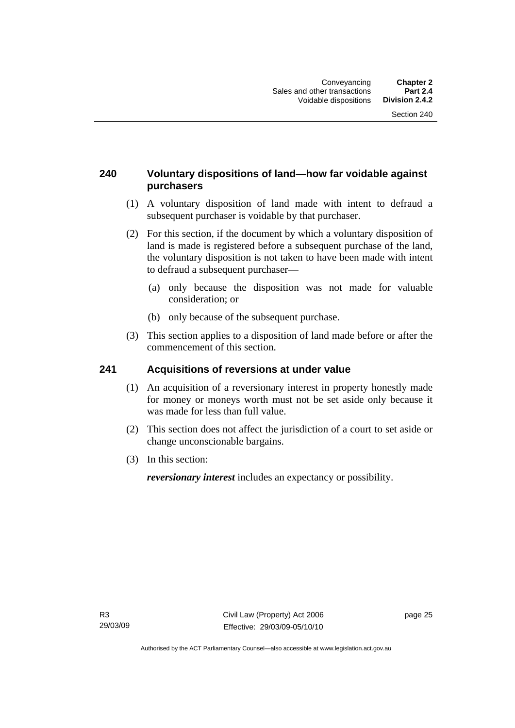#### <span id="page-34-0"></span>**240 Voluntary dispositions of land—how far voidable against purchasers**

- (1) A voluntary disposition of land made with intent to defraud a subsequent purchaser is voidable by that purchaser.
- (2) For this section, if the document by which a voluntary disposition of land is made is registered before a subsequent purchase of the land, the voluntary disposition is not taken to have been made with intent to defraud a subsequent purchaser—
	- (a) only because the disposition was not made for valuable consideration; or
	- (b) only because of the subsequent purchase.
- (3) This section applies to a disposition of land made before or after the commencement of this section.

#### **241 Acquisitions of reversions at under value**

- (1) An acquisition of a reversionary interest in property honestly made for money or moneys worth must not be set aside only because it was made for less than full value.
- (2) This section does not affect the jurisdiction of a court to set aside or change unconscionable bargains.
- (3) In this section:

*reversionary interest* includes an expectancy or possibility.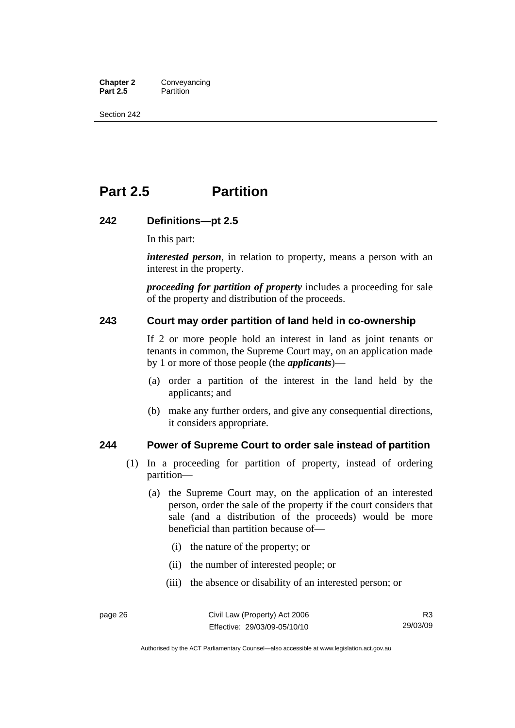<span id="page-35-0"></span>**Chapter 2 Conveyancing**<br>**Part 2.5 Partition Partition** 

Section 242

# **Part 2.5 Partition**

#### **242 Definitions—pt 2.5**

In this part:

*interested person*, in relation to property, means a person with an interest in the property.

*proceeding for partition of property* includes a proceeding for sale of the property and distribution of the proceeds.

#### **243 Court may order partition of land held in co-ownership**

If 2 or more people hold an interest in land as joint tenants or tenants in common, the Supreme Court may, on an application made by 1 or more of those people (the *applicants*)—

- (a) order a partition of the interest in the land held by the applicants; and
- (b) make any further orders, and give any consequential directions, it considers appropriate.

#### **244 Power of Supreme Court to order sale instead of partition**

- (1) In a proceeding for partition of property, instead of ordering partition—
	- (a) the Supreme Court may, on the application of an interested person, order the sale of the property if the court considers that sale (and a distribution of the proceeds) would be more beneficial than partition because of—
		- (i) the nature of the property; or
		- (ii) the number of interested people; or
		- (iii) the absence or disability of an interested person; or

Authorised by the ACT Parliamentary Counsel—also accessible at www.legislation.act.gov.au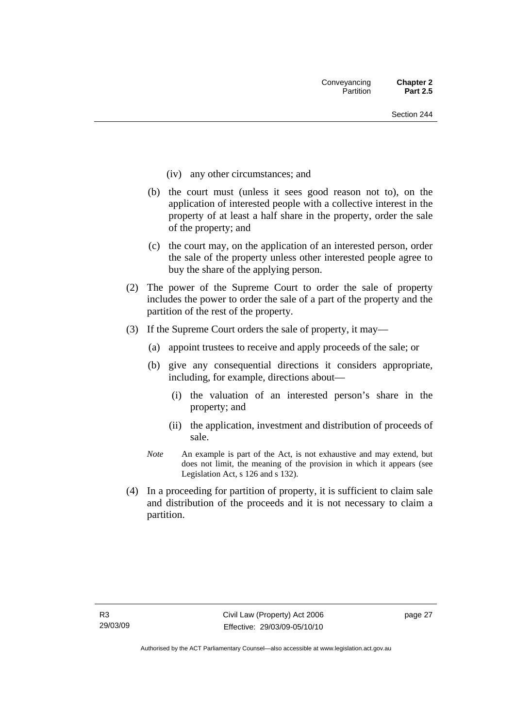- (iv) any other circumstances; and
- (b) the court must (unless it sees good reason not to), on the application of interested people with a collective interest in the property of at least a half share in the property, order the sale of the property; and
- (c) the court may, on the application of an interested person, order the sale of the property unless other interested people agree to buy the share of the applying person.
- (2) The power of the Supreme Court to order the sale of property includes the power to order the sale of a part of the property and the partition of the rest of the property.
- (3) If the Supreme Court orders the sale of property, it may—
	- (a) appoint trustees to receive and apply proceeds of the sale; or
	- (b) give any consequential directions it considers appropriate, including, for example, directions about—
		- (i) the valuation of an interested person's share in the property; and
		- (ii) the application, investment and distribution of proceeds of sale.
	- *Note* An example is part of the Act, is not exhaustive and may extend, but does not limit, the meaning of the provision in which it appears (see Legislation Act, s 126 and s 132).
- (4) In a proceeding for partition of property, it is sufficient to claim sale and distribution of the proceeds and it is not necessary to claim a partition.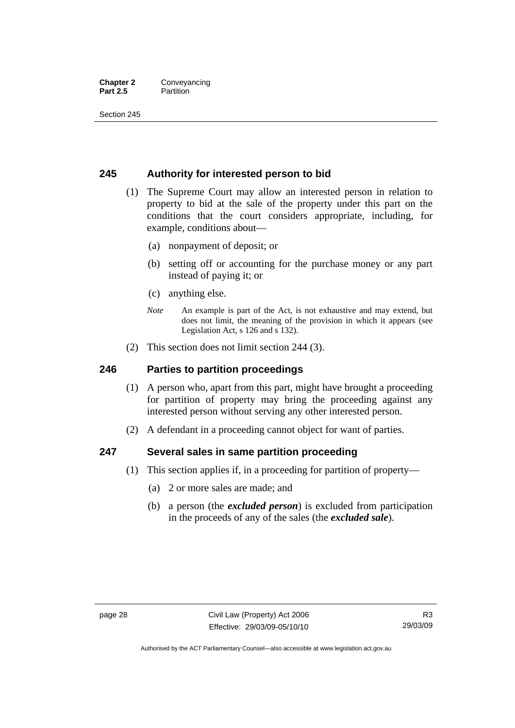#### **Chapter 2** Conveyancing **Part 2.5** Partition

Section 245

#### **245 Authority for interested person to bid**

- (1) The Supreme Court may allow an interested person in relation to property to bid at the sale of the property under this part on the conditions that the court considers appropriate, including, for example, conditions about—
	- (a) nonpayment of deposit; or
	- (b) setting off or accounting for the purchase money or any part instead of paying it; or
	- (c) anything else.
	- *Note* An example is part of the Act, is not exhaustive and may extend, but does not limit, the meaning of the provision in which it appears (see Legislation Act, s 126 and s 132).
- (2) This section does not limit section 244 (3).

#### **246 Parties to partition proceedings**

- (1) A person who, apart from this part, might have brought a proceeding for partition of property may bring the proceeding against any interested person without serving any other interested person.
- (2) A defendant in a proceeding cannot object for want of parties.

#### **247 Several sales in same partition proceeding**

- (1) This section applies if, in a proceeding for partition of property—
	- (a) 2 or more sales are made; and
	- (b) a person (the *excluded person*) is excluded from participation in the proceeds of any of the sales (the *excluded sale*).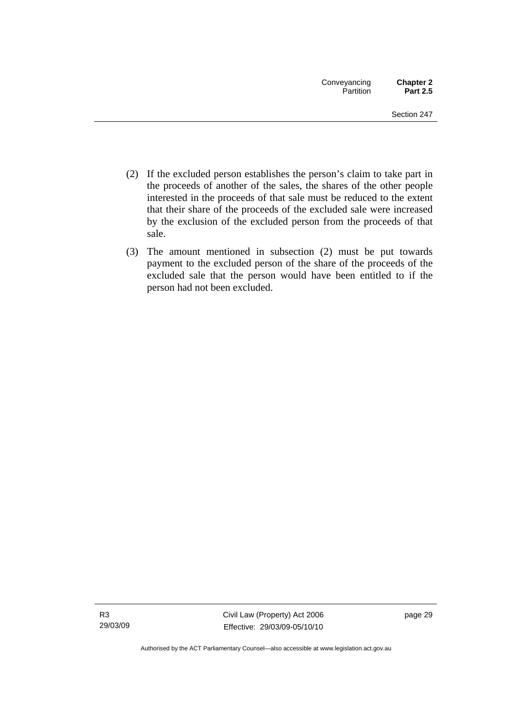- (2) If the excluded person establishes the person's claim to take part in the proceeds of another of the sales, the shares of the other people interested in the proceeds of that sale must be reduced to the extent that their share of the proceeds of the excluded sale were increased by the exclusion of the excluded person from the proceeds of that sale.
- (3) The amount mentioned in subsection (2) must be put towards payment to the excluded person of the share of the proceeds of the excluded sale that the person would have been entitled to if the person had not been excluded.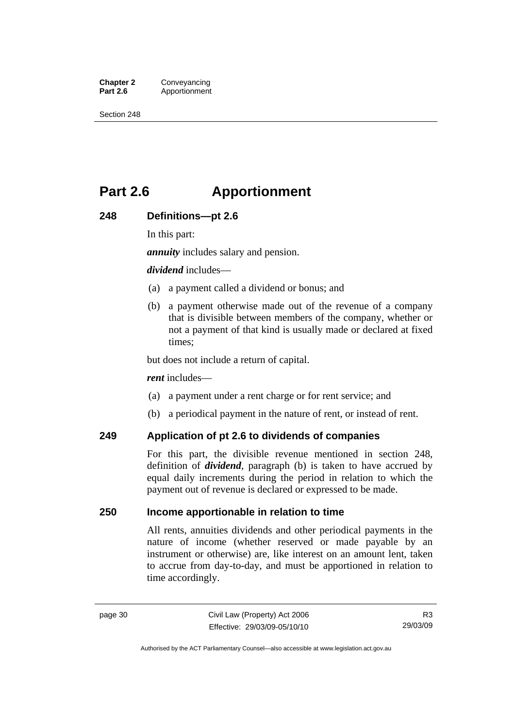**Chapter 2 Conveyancing**<br>**Part 2.6 Apportionment Part 2.6** Apportionment

Section 248

# **Part 2.6 Apportionment**

#### **248 Definitions—pt 2.6**

In this part:

*annuity* includes salary and pension.

#### *dividend* includes—

- (a) a payment called a dividend or bonus; and
- (b) a payment otherwise made out of the revenue of a company that is divisible between members of the company, whether or not a payment of that kind is usually made or declared at fixed times;

but does not include a return of capital.

#### *rent* includes—

- (a) a payment under a rent charge or for rent service; and
- (b) a periodical payment in the nature of rent, or instead of rent.

#### **249 Application of pt 2.6 to dividends of companies**

For this part, the divisible revenue mentioned in section 248, definition of *dividend*, paragraph (b) is taken to have accrued by equal daily increments during the period in relation to which the payment out of revenue is declared or expressed to be made.

#### **250 Income apportionable in relation to time**

All rents, annuities dividends and other periodical payments in the nature of income (whether reserved or made payable by an instrument or otherwise) are, like interest on an amount lent, taken to accrue from day-to-day, and must be apportioned in relation to time accordingly.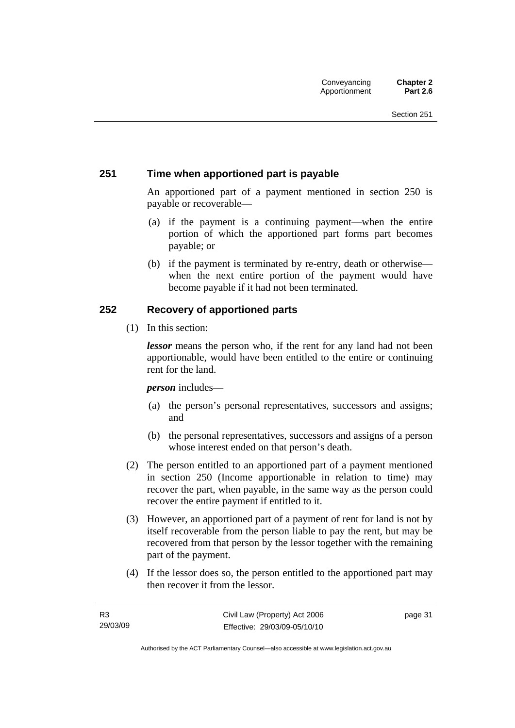#### **251 Time when apportioned part is payable**

An apportioned part of a payment mentioned in section 250 is payable or recoverable—

- (a) if the payment is a continuing payment—when the entire portion of which the apportioned part forms part becomes payable; or
- (b) if the payment is terminated by re-entry, death or otherwise when the next entire portion of the payment would have become payable if it had not been terminated.

#### **252 Recovery of apportioned parts**

(1) In this section:

*lessor* means the person who, if the rent for any land had not been apportionable, would have been entitled to the entire or continuing rent for the land.

*person* includes—

- (a) the person's personal representatives, successors and assigns; and
- (b) the personal representatives, successors and assigns of a person whose interest ended on that person's death.
- (2) The person entitled to an apportioned part of a payment mentioned in section 250 (Income apportionable in relation to time) may recover the part, when payable, in the same way as the person could recover the entire payment if entitled to it.
- (3) However, an apportioned part of a payment of rent for land is not by itself recoverable from the person liable to pay the rent, but may be recovered from that person by the lessor together with the remaining part of the payment.
- (4) If the lessor does so, the person entitled to the apportioned part may then recover it from the lessor.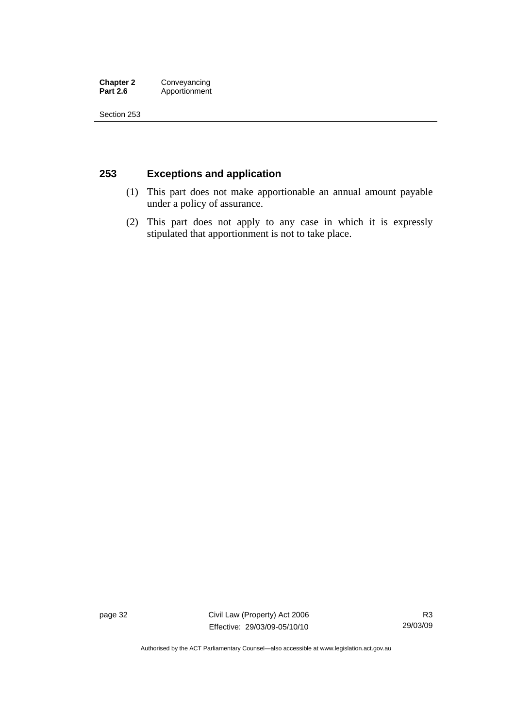#### **Chapter 2 Conveyancing**<br>**Part 2.6 Apportionment** Apportionment

Section 253

### **253 Exceptions and application**

- (1) This part does not make apportionable an annual amount payable under a policy of assurance.
- (2) This part does not apply to any case in which it is expressly stipulated that apportionment is not to take place.

page 32 Civil Law (Property) Act 2006 Effective: 29/03/09-05/10/10

R3 29/03/09

Authorised by the ACT Parliamentary Counsel—also accessible at www.legislation.act.gov.au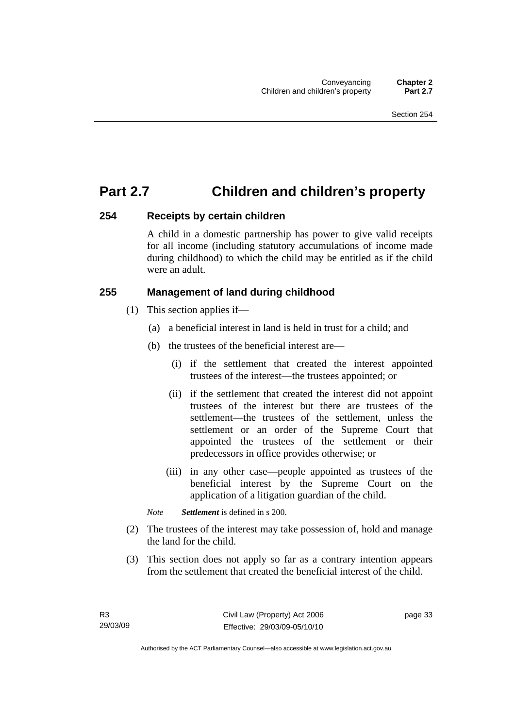## **Part 2.7 Children and children's property**

#### **254 Receipts by certain children**

A child in a domestic partnership has power to give valid receipts for all income (including statutory accumulations of income made during childhood) to which the child may be entitled as if the child were an adult.

### **255 Management of land during childhood**

- (1) This section applies if—
	- (a) a beneficial interest in land is held in trust for a child; and
	- (b) the trustees of the beneficial interest are—
		- (i) if the settlement that created the interest appointed trustees of the interest—the trustees appointed; or
		- (ii) if the settlement that created the interest did not appoint trustees of the interest but there are trustees of the settlement—the trustees of the settlement, unless the settlement or an order of the Supreme Court that appointed the trustees of the settlement or their predecessors in office provides otherwise; or
		- (iii) in any other case—people appointed as trustees of the beneficial interest by the Supreme Court on the application of a litigation guardian of the child.

*Note Settlement* is defined in s 200.

- (2) The trustees of the interest may take possession of, hold and manage the land for the child.
- (3) This section does not apply so far as a contrary intention appears from the settlement that created the beneficial interest of the child.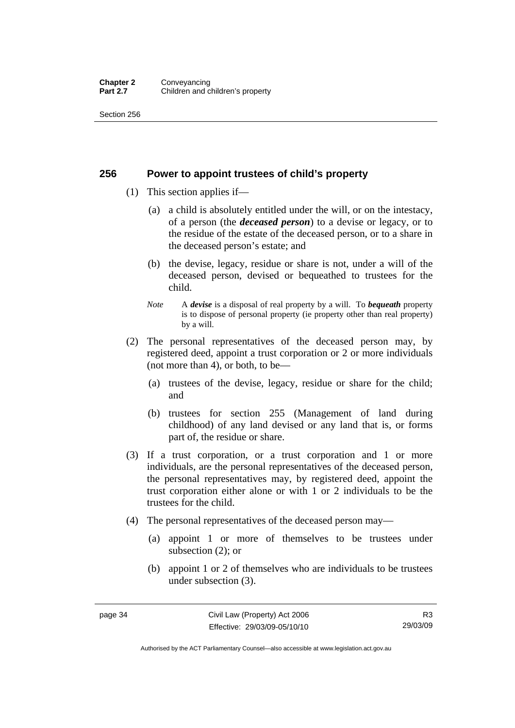#### **Chapter 2 Conveyancing**<br>**Part 2.7 Children and c Children and children's property**

Section 256

#### **256 Power to appoint trustees of child's property**

- (1) This section applies if—
	- (a) a child is absolutely entitled under the will, or on the intestacy, of a person (the *deceased person*) to a devise or legacy, or to the residue of the estate of the deceased person, or to a share in the deceased person's estate; and
	- (b) the devise, legacy, residue or share is not, under a will of the deceased person, devised or bequeathed to trustees for the child.
	- *Note* A *devise* is a disposal of real property by a will. To *bequeath* property is to dispose of personal property (ie property other than real property) by a will.
- (2) The personal representatives of the deceased person may, by registered deed, appoint a trust corporation or 2 or more individuals (not more than 4), or both, to be—
	- (a) trustees of the devise, legacy, residue or share for the child; and
	- (b) trustees for section 255 (Management of land during childhood) of any land devised or any land that is, or forms part of, the residue or share.
- (3) If a trust corporation, or a trust corporation and 1 or more individuals, are the personal representatives of the deceased person, the personal representatives may, by registered deed, appoint the trust corporation either alone or with 1 or 2 individuals to be the trustees for the child.
- (4) The personal representatives of the deceased person may—
	- (a) appoint 1 or more of themselves to be trustees under subsection (2); or
	- (b) appoint 1 or 2 of themselves who are individuals to be trustees under subsection (3).

Authorised by the ACT Parliamentary Counsel—also accessible at www.legislation.act.gov.au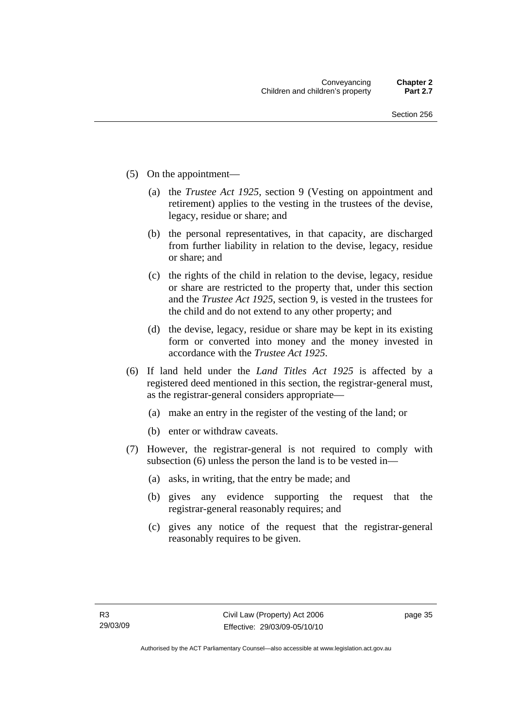- (5) On the appointment—
	- (a) the *Trustee Act 1925*, section 9 (Vesting on appointment and retirement) applies to the vesting in the trustees of the devise, legacy, residue or share; and
	- (b) the personal representatives, in that capacity, are discharged from further liability in relation to the devise, legacy, residue or share; and
	- (c) the rights of the child in relation to the devise, legacy, residue or share are restricted to the property that, under this section and the *Trustee Act 1925*, section 9, is vested in the trustees for the child and do not extend to any other property; and
	- (d) the devise, legacy, residue or share may be kept in its existing form or converted into money and the money invested in accordance with the *Trustee Act 1925*.
- (6) If land held under the *Land Titles Act 1925* is affected by a registered deed mentioned in this section, the registrar-general must, as the registrar-general considers appropriate—
	- (a) make an entry in the register of the vesting of the land; or
	- (b) enter or withdraw caveats.
- (7) However, the registrar-general is not required to comply with subsection (6) unless the person the land is to be vested in—
	- (a) asks, in writing, that the entry be made; and
	- (b) gives any evidence supporting the request that the registrar-general reasonably requires; and
	- (c) gives any notice of the request that the registrar-general reasonably requires to be given.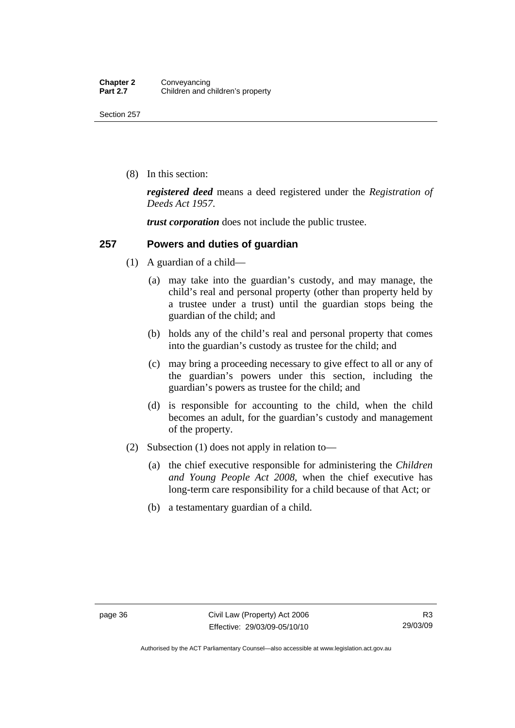(8) In this section:

*registered deed* means a deed registered under the *Registration of Deeds Act 1957*.

*trust corporation* does not include the public trustee.

#### **257 Powers and duties of guardian**

- (1) A guardian of a child—
	- (a) may take into the guardian's custody, and may manage, the child's real and personal property (other than property held by a trustee under a trust) until the guardian stops being the guardian of the child; and
	- (b) holds any of the child's real and personal property that comes into the guardian's custody as trustee for the child; and
	- (c) may bring a proceeding necessary to give effect to all or any of the guardian's powers under this section, including the guardian's powers as trustee for the child; and
	- (d) is responsible for accounting to the child, when the child becomes an adult, for the guardian's custody and management of the property.
- (2) Subsection (1) does not apply in relation to—
	- (a) the chief executive responsible for administering the *Children and Young People Act 2008*, when the chief executive has long-term care responsibility for a child because of that Act; or
	- (b) a testamentary guardian of a child.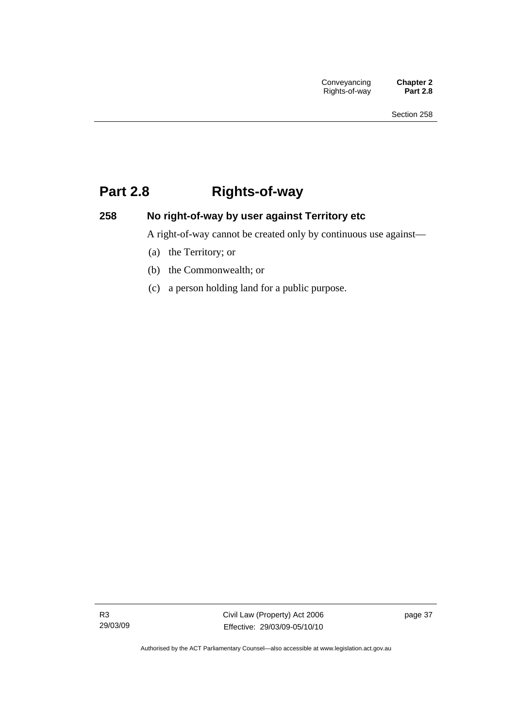# **Part 2.8 Rights-of-way**

### **258 No right-of-way by user against Territory etc**

A right-of-way cannot be created only by continuous use against—

- (a) the Territory; or
- (b) the Commonwealth; or
- (c) a person holding land for a public purpose.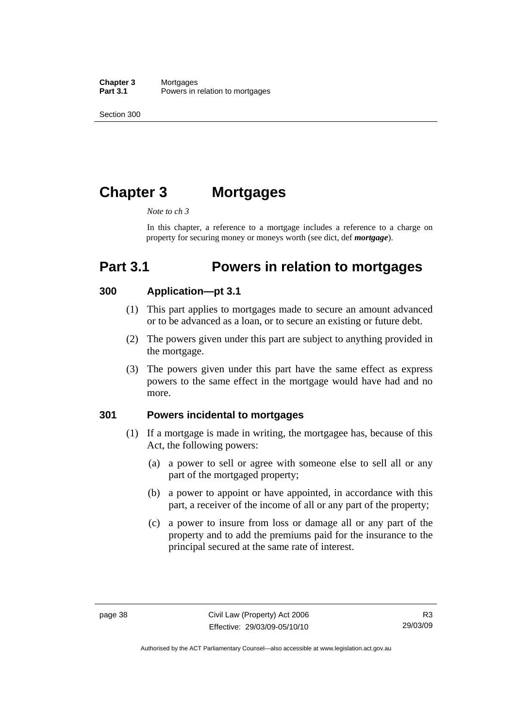Section 300

# **Chapter 3 Mortgages**

#### *Note to ch 3*

In this chapter, a reference to a mortgage includes a reference to a charge on property for securing money or moneys worth (see dict, def *mortgage*).

# **Part 3.1 Powers in relation to mortgages**

#### **300 Application—pt 3.1**

- (1) This part applies to mortgages made to secure an amount advanced or to be advanced as a loan, or to secure an existing or future debt.
- (2) The powers given under this part are subject to anything provided in the mortgage.
- (3) The powers given under this part have the same effect as express powers to the same effect in the mortgage would have had and no more.

#### **301 Powers incidental to mortgages**

- (1) If a mortgage is made in writing, the mortgagee has, because of this Act, the following powers:
	- (a) a power to sell or agree with someone else to sell all or any part of the mortgaged property;
	- (b) a power to appoint or have appointed, in accordance with this part, a receiver of the income of all or any part of the property;
	- (c) a power to insure from loss or damage all or any part of the property and to add the premiums paid for the insurance to the principal secured at the same rate of interest.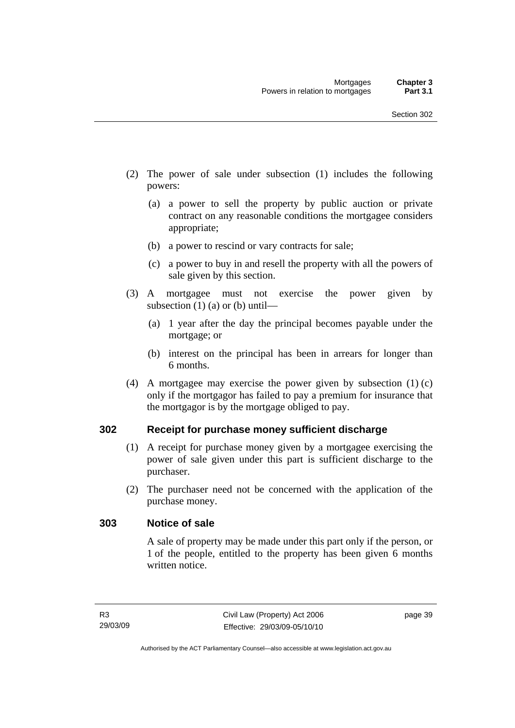- (2) The power of sale under subsection (1) includes the following powers:
	- (a) a power to sell the property by public auction or private contract on any reasonable conditions the mortgagee considers appropriate;
	- (b) a power to rescind or vary contracts for sale;
	- (c) a power to buy in and resell the property with all the powers of sale given by this section.
- (3) A mortgagee must not exercise the power given by subsection  $(1)$  (a) or (b) until—
	- (a) 1 year after the day the principal becomes payable under the mortgage; or
	- (b) interest on the principal has been in arrears for longer than 6 months.
- (4) A mortgagee may exercise the power given by subsection (1) (c) only if the mortgagor has failed to pay a premium for insurance that the mortgagor is by the mortgage obliged to pay.

#### **302 Receipt for purchase money sufficient discharge**

- (1) A receipt for purchase money given by a mortgagee exercising the power of sale given under this part is sufficient discharge to the purchaser.
- (2) The purchaser need not be concerned with the application of the purchase money.

#### **303 Notice of sale**

A sale of property may be made under this part only if the person, or 1 of the people, entitled to the property has been given 6 months written notice.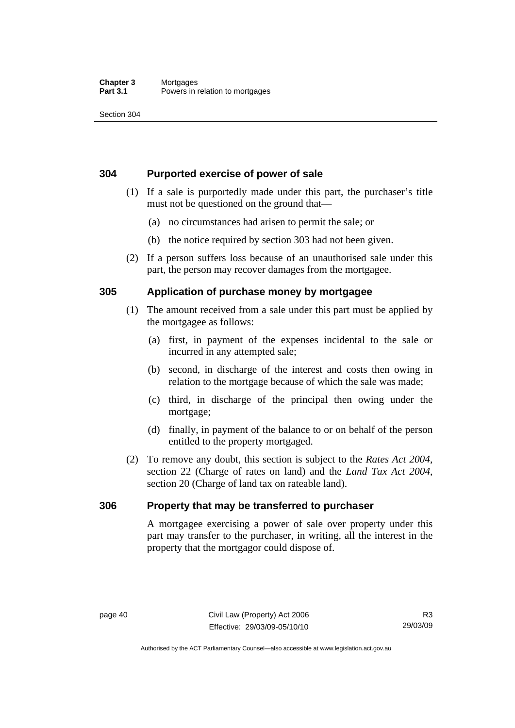#### **Chapter 3** Mortgages<br>**Part 3.1** Powers in Powers in relation to mortgages

Section 304

#### **304 Purported exercise of power of sale**

- (1) If a sale is purportedly made under this part, the purchaser's title must not be questioned on the ground that—
	- (a) no circumstances had arisen to permit the sale; or
	- (b) the notice required by section 303 had not been given.
- (2) If a person suffers loss because of an unauthorised sale under this part, the person may recover damages from the mortgagee.

#### **305 Application of purchase money by mortgagee**

- (1) The amount received from a sale under this part must be applied by the mortgagee as follows:
	- (a) first, in payment of the expenses incidental to the sale or incurred in any attempted sale;
	- (b) second, in discharge of the interest and costs then owing in relation to the mortgage because of which the sale was made;
	- (c) third, in discharge of the principal then owing under the mortgage;
	- (d) finally, in payment of the balance to or on behalf of the person entitled to the property mortgaged.
- (2) To remove any doubt, this section is subject to the *Rates Act 2004*, section 22 (Charge of rates on land) and the *Land Tax Act 2004*, section 20 (Charge of land tax on rateable land).

#### **306 Property that may be transferred to purchaser**

A mortgagee exercising a power of sale over property under this part may transfer to the purchaser, in writing, all the interest in the property that the mortgagor could dispose of.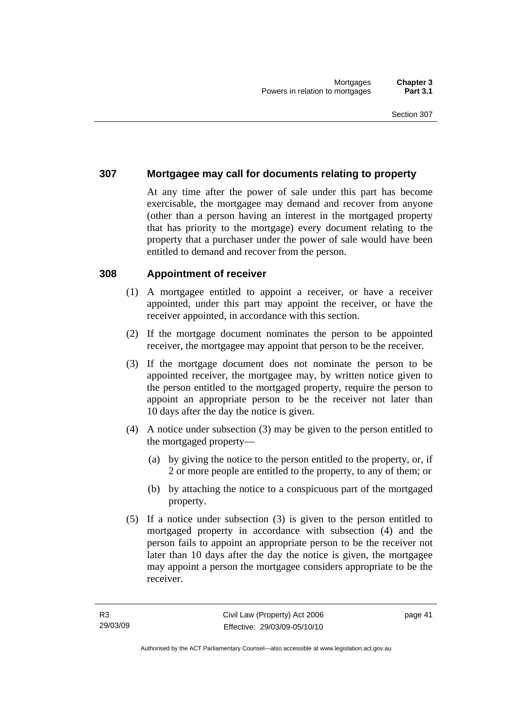#### **307 Mortgagee may call for documents relating to property**

At any time after the power of sale under this part has become exercisable, the mortgagee may demand and recover from anyone (other than a person having an interest in the mortgaged property that has priority to the mortgage) every document relating to the property that a purchaser under the power of sale would have been entitled to demand and recover from the person.

#### **308 Appointment of receiver**

- (1) A mortgagee entitled to appoint a receiver, or have a receiver appointed, under this part may appoint the receiver, or have the receiver appointed, in accordance with this section.
- (2) If the mortgage document nominates the person to be appointed receiver, the mortgagee may appoint that person to be the receiver.
- (3) If the mortgage document does not nominate the person to be appointed receiver, the mortgagee may, by written notice given to the person entitled to the mortgaged property, require the person to appoint an appropriate person to be the receiver not later than 10 days after the day the notice is given.
- (4) A notice under subsection (3) may be given to the person entitled to the mortgaged property—
	- (a) by giving the notice to the person entitled to the property, or, if 2 or more people are entitled to the property, to any of them; or
	- (b) by attaching the notice to a conspicuous part of the mortgaged property.
- (5) If a notice under subsection (3) is given to the person entitled to mortgaged property in accordance with subsection (4) and the person fails to appoint an appropriate person to be the receiver not later than 10 days after the day the notice is given, the mortgagee may appoint a person the mortgagee considers appropriate to be the receiver.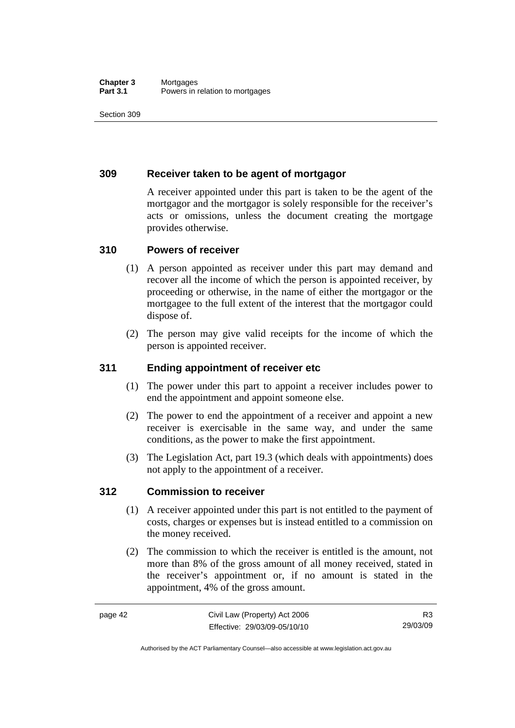#### **Chapter 3** Mortgages<br>**Part 3.1** Powers in i Powers in relation to mortgages

Section 309

#### **309 Receiver taken to be agent of mortgagor**

A receiver appointed under this part is taken to be the agent of the mortgagor and the mortgagor is solely responsible for the receiver's acts or omissions, unless the document creating the mortgage provides otherwise.

#### **310 Powers of receiver**

- (1) A person appointed as receiver under this part may demand and recover all the income of which the person is appointed receiver, by proceeding or otherwise, in the name of either the mortgagor or the mortgagee to the full extent of the interest that the mortgagor could dispose of.
- (2) The person may give valid receipts for the income of which the person is appointed receiver.

### **311 Ending appointment of receiver etc**

- (1) The power under this part to appoint a receiver includes power to end the appointment and appoint someone else.
- (2) The power to end the appointment of a receiver and appoint a new receiver is exercisable in the same way, and under the same conditions, as the power to make the first appointment.
- (3) The Legislation Act, part 19.3 (which deals with appointments) does not apply to the appointment of a receiver.

#### **312 Commission to receiver**

- (1) A receiver appointed under this part is not entitled to the payment of costs, charges or expenses but is instead entitled to a commission on the money received.
- (2) The commission to which the receiver is entitled is the amount, not more than 8% of the gross amount of all money received, stated in the receiver's appointment or, if no amount is stated in the appointment, 4% of the gross amount.

Authorised by the ACT Parliamentary Counsel—also accessible at www.legislation.act.gov.au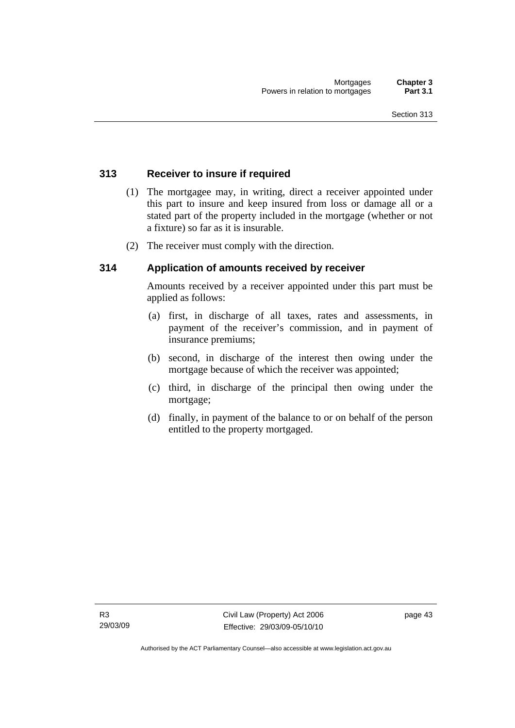#### **313 Receiver to insure if required**

- (1) The mortgagee may, in writing, direct a receiver appointed under this part to insure and keep insured from loss or damage all or a stated part of the property included in the mortgage (whether or not a fixture) so far as it is insurable.
- (2) The receiver must comply with the direction.

#### **314 Application of amounts received by receiver**

Amounts received by a receiver appointed under this part must be applied as follows:

- (a) first, in discharge of all taxes, rates and assessments, in payment of the receiver's commission, and in payment of insurance premiums;
- (b) second, in discharge of the interest then owing under the mortgage because of which the receiver was appointed;
- (c) third, in discharge of the principal then owing under the mortgage;
- (d) finally, in payment of the balance to or on behalf of the person entitled to the property mortgaged.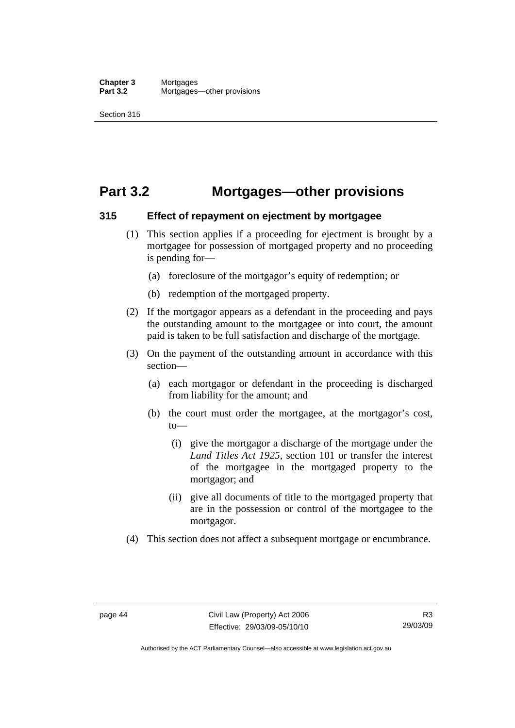## **Part 3.2 Mortgages—other provisions**

#### **315 Effect of repayment on ejectment by mortgagee**

- (1) This section applies if a proceeding for ejectment is brought by a mortgagee for possession of mortgaged property and no proceeding is pending for—
	- (a) foreclosure of the mortgagor's equity of redemption; or
	- (b) redemption of the mortgaged property.
- (2) If the mortgagor appears as a defendant in the proceeding and pays the outstanding amount to the mortgagee or into court, the amount paid is taken to be full satisfaction and discharge of the mortgage.
- (3) On the payment of the outstanding amount in accordance with this section—
	- (a) each mortgagor or defendant in the proceeding is discharged from liability for the amount; and
	- (b) the court must order the mortgagee, at the mortgagor's cost,  $t_0$ 
		- (i) give the mortgagor a discharge of the mortgage under the *Land Titles Act 1925*, section 101 or transfer the interest of the mortgagee in the mortgaged property to the mortgagor; and
		- (ii) give all documents of title to the mortgaged property that are in the possession or control of the mortgagee to the mortgagor.
- (4) This section does not affect a subsequent mortgage or encumbrance.

Authorised by the ACT Parliamentary Counsel—also accessible at www.legislation.act.gov.au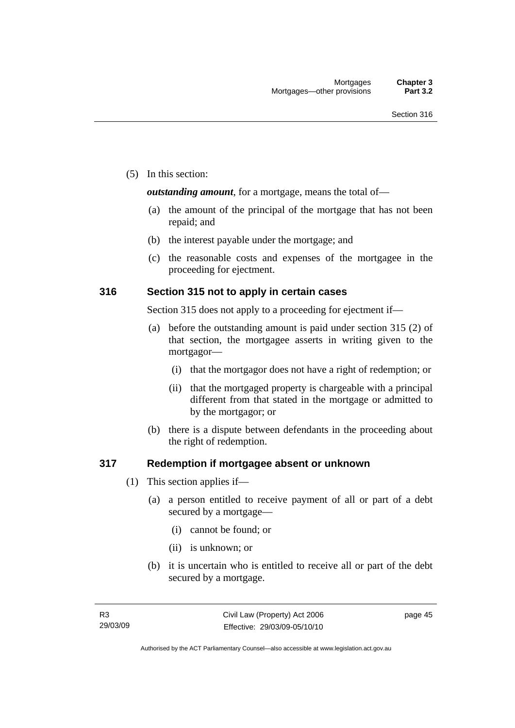(5) In this section:

*outstanding amount*, for a mortgage, means the total of—

- (a) the amount of the principal of the mortgage that has not been repaid; and
- (b) the interest payable under the mortgage; and
- (c) the reasonable costs and expenses of the mortgagee in the proceeding for ejectment.

#### **316 Section 315 not to apply in certain cases**

Section 315 does not apply to a proceeding for ejectment if—

- (a) before the outstanding amount is paid under section 315 (2) of that section, the mortgagee asserts in writing given to the mortgagor—
	- (i) that the mortgagor does not have a right of redemption; or
	- (ii) that the mortgaged property is chargeable with a principal different from that stated in the mortgage or admitted to by the mortgagor; or
- (b) there is a dispute between defendants in the proceeding about the right of redemption.

#### **317 Redemption if mortgagee absent or unknown**

- (1) This section applies if—
	- (a) a person entitled to receive payment of all or part of a debt secured by a mortgage—
		- (i) cannot be found; or
		- (ii) is unknown; or
	- (b) it is uncertain who is entitled to receive all or part of the debt secured by a mortgage.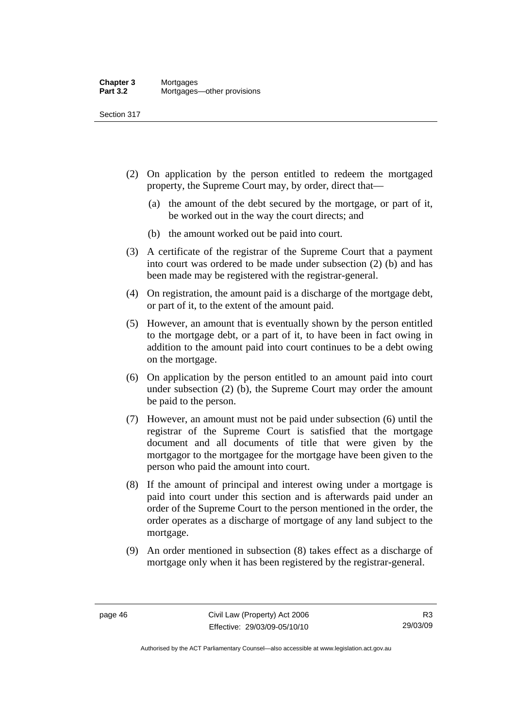Section 317

- (2) On application by the person entitled to redeem the mortgaged property, the Supreme Court may, by order, direct that—
	- (a) the amount of the debt secured by the mortgage, or part of it, be worked out in the way the court directs; and
	- (b) the amount worked out be paid into court.
- (3) A certificate of the registrar of the Supreme Court that a payment into court was ordered to be made under subsection (2) (b) and has been made may be registered with the registrar-general.
- (4) On registration, the amount paid is a discharge of the mortgage debt, or part of it, to the extent of the amount paid.
- (5) However, an amount that is eventually shown by the person entitled to the mortgage debt, or a part of it, to have been in fact owing in addition to the amount paid into court continues to be a debt owing on the mortgage.
- (6) On application by the person entitled to an amount paid into court under subsection (2) (b), the Supreme Court may order the amount be paid to the person.
- (7) However, an amount must not be paid under subsection (6) until the registrar of the Supreme Court is satisfied that the mortgage document and all documents of title that were given by the mortgagor to the mortgagee for the mortgage have been given to the person who paid the amount into court.
- (8) If the amount of principal and interest owing under a mortgage is paid into court under this section and is afterwards paid under an order of the Supreme Court to the person mentioned in the order, the order operates as a discharge of mortgage of any land subject to the mortgage.
- (9) An order mentioned in subsection (8) takes effect as a discharge of mortgage only when it has been registered by the registrar-general.

R3 29/03/09

Authorised by the ACT Parliamentary Counsel—also accessible at www.legislation.act.gov.au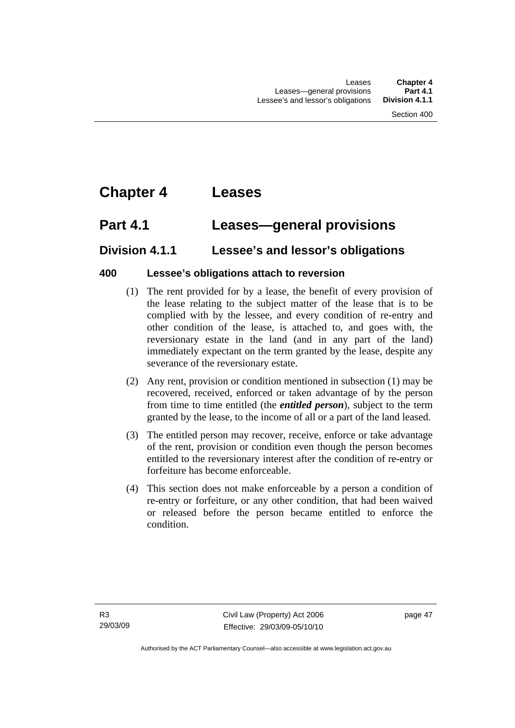# **Chapter 4 Leases**

## **Part 4.1 Leases—general provisions**

## **Division 4.1.1 Lessee's and lessor's obligations**

### **400 Lessee's obligations attach to reversion**

- (1) The rent provided for by a lease, the benefit of every provision of the lease relating to the subject matter of the lease that is to be complied with by the lessee, and every condition of re-entry and other condition of the lease, is attached to, and goes with, the reversionary estate in the land (and in any part of the land) immediately expectant on the term granted by the lease, despite any severance of the reversionary estate.
- (2) Any rent, provision or condition mentioned in subsection (1) may be recovered, received, enforced or taken advantage of by the person from time to time entitled (the *entitled person*), subject to the term granted by the lease, to the income of all or a part of the land leased.
- (3) The entitled person may recover, receive, enforce or take advantage of the rent, provision or condition even though the person becomes entitled to the reversionary interest after the condition of re-entry or forfeiture has become enforceable.
- (4) This section does not make enforceable by a person a condition of re-entry or forfeiture, or any other condition, that had been waived or released before the person became entitled to enforce the condition.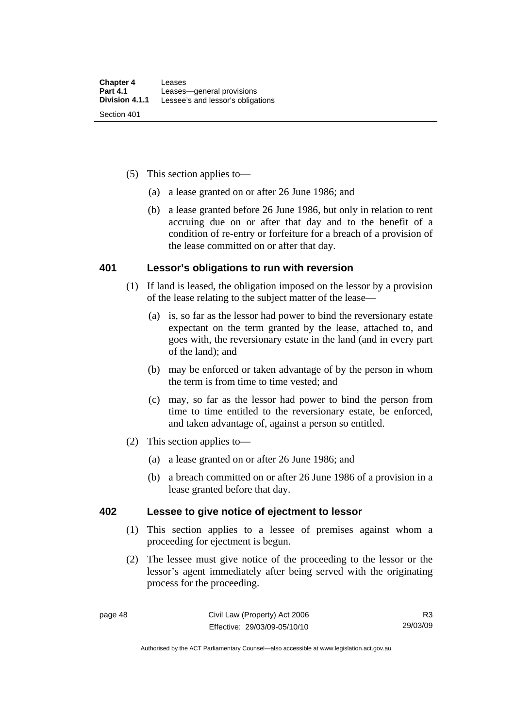- (5) This section applies to—
	- (a) a lease granted on or after 26 June 1986; and
	- (b) a lease granted before 26 June 1986, but only in relation to rent accruing due on or after that day and to the benefit of a condition of re-entry or forfeiture for a breach of a provision of the lease committed on or after that day.

#### **401 Lessor's obligations to run with reversion**

- (1) If land is leased, the obligation imposed on the lessor by a provision of the lease relating to the subject matter of the lease—
	- (a) is, so far as the lessor had power to bind the reversionary estate expectant on the term granted by the lease, attached to, and goes with, the reversionary estate in the land (and in every part of the land); and
	- (b) may be enforced or taken advantage of by the person in whom the term is from time to time vested; and
	- (c) may, so far as the lessor had power to bind the person from time to time entitled to the reversionary estate, be enforced, and taken advantage of, against a person so entitled.
- (2) This section applies to—
	- (a) a lease granted on or after 26 June 1986; and
	- (b) a breach committed on or after 26 June 1986 of a provision in a lease granted before that day.

#### **402 Lessee to give notice of ejectment to lessor**

- (1) This section applies to a lessee of premises against whom a proceeding for ejectment is begun.
- (2) The lessee must give notice of the proceeding to the lessor or the lessor's agent immediately after being served with the originating process for the proceeding.

Authorised by the ACT Parliamentary Counsel—also accessible at www.legislation.act.gov.au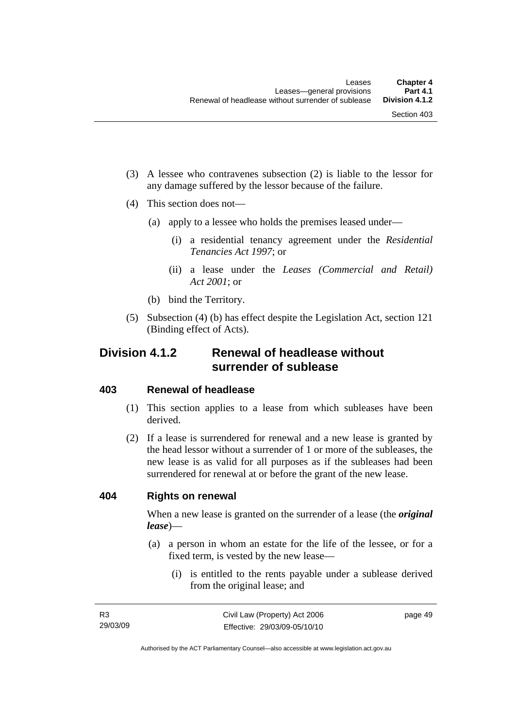- (3) A lessee who contravenes subsection (2) is liable to the lessor for any damage suffered by the lessor because of the failure.
- (4) This section does not—
	- (a) apply to a lessee who holds the premises leased under—
		- (i) a residential tenancy agreement under the *Residential Tenancies Act 1997*; or
		- (ii) a lease under the *Leases (Commercial and Retail) Act 2001*; or
	- (b) bind the Territory.
- (5) Subsection (4) (b) has effect despite the Legislation Act, section 121 (Binding effect of Acts).

## **Division 4.1.2 Renewal of headlease without surrender of sublease**

#### **403 Renewal of headlease**

- (1) This section applies to a lease from which subleases have been derived.
- (2) If a lease is surrendered for renewal and a new lease is granted by the head lessor without a surrender of 1 or more of the subleases, the new lease is as valid for all purposes as if the subleases had been surrendered for renewal at or before the grant of the new lease.

#### **404 Rights on renewal**

When a new lease is granted on the surrender of a lease (the *original lease*)—

- (a) a person in whom an estate for the life of the lessee, or for a fixed term, is vested by the new lease—
	- (i) is entitled to the rents payable under a sublease derived from the original lease; and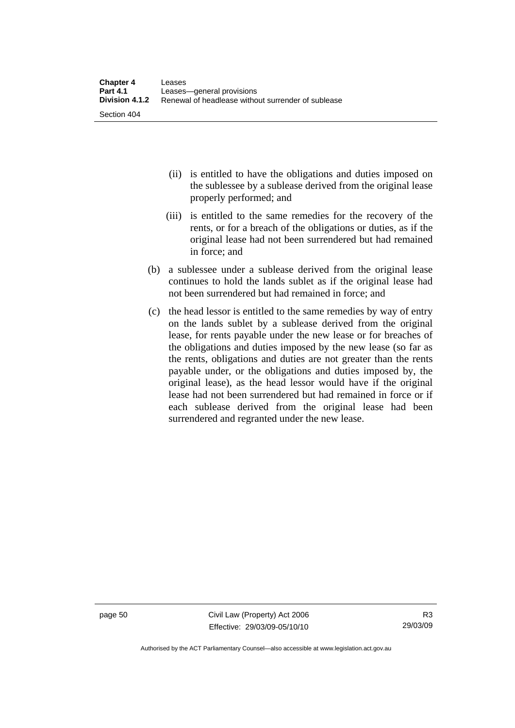- (ii) is entitled to have the obligations and duties imposed on the sublessee by a sublease derived from the original lease properly performed; and
- (iii) is entitled to the same remedies for the recovery of the rents, or for a breach of the obligations or duties, as if the original lease had not been surrendered but had remained in force; and
- (b) a sublessee under a sublease derived from the original lease continues to hold the lands sublet as if the original lease had not been surrendered but had remained in force; and
- (c) the head lessor is entitled to the same remedies by way of entry on the lands sublet by a sublease derived from the original lease, for rents payable under the new lease or for breaches of the obligations and duties imposed by the new lease (so far as the rents, obligations and duties are not greater than the rents payable under, or the obligations and duties imposed by, the original lease), as the head lessor would have if the original lease had not been surrendered but had remained in force or if each sublease derived from the original lease had been surrendered and regranted under the new lease.

page 50 Civil Law (Property) Act 2006 Effective: 29/03/09-05/10/10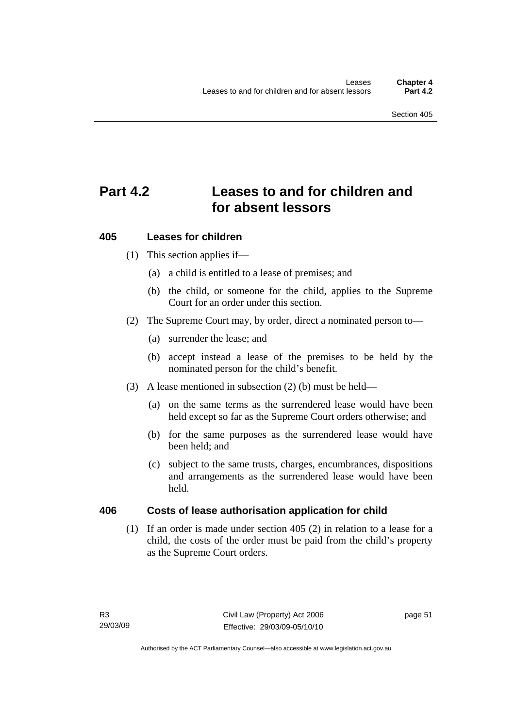# **Part 4.2 Leases to and for children and for absent lessors**

### **405 Leases for children**

- (1) This section applies if—
	- (a) a child is entitled to a lease of premises; and
	- (b) the child, or someone for the child, applies to the Supreme Court for an order under this section.
- (2) The Supreme Court may, by order, direct a nominated person to—
	- (a) surrender the lease; and
	- (b) accept instead a lease of the premises to be held by the nominated person for the child's benefit.
- (3) A lease mentioned in subsection (2) (b) must be held—
	- (a) on the same terms as the surrendered lease would have been held except so far as the Supreme Court orders otherwise; and
	- (b) for the same purposes as the surrendered lease would have been held; and
	- (c) subject to the same trusts, charges, encumbrances, dispositions and arrangements as the surrendered lease would have been held.

#### **406 Costs of lease authorisation application for child**

 (1) If an order is made under section 405 (2) in relation to a lease for a child, the costs of the order must be paid from the child's property as the Supreme Court orders.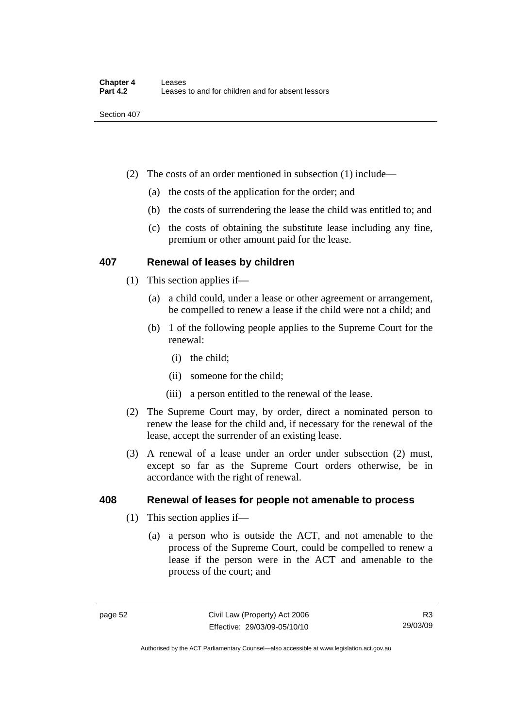- (2) The costs of an order mentioned in subsection (1) include—
	- (a) the costs of the application for the order; and
	- (b) the costs of surrendering the lease the child was entitled to; and
	- (c) the costs of obtaining the substitute lease including any fine, premium or other amount paid for the lease.

#### **407 Renewal of leases by children**

- (1) This section applies if—
	- (a) a child could, under a lease or other agreement or arrangement, be compelled to renew a lease if the child were not a child; and
	- (b) 1 of the following people applies to the Supreme Court for the renewal:
		- (i) the child;
		- (ii) someone for the child;
		- (iii) a person entitled to the renewal of the lease.
- (2) The Supreme Court may, by order, direct a nominated person to renew the lease for the child and, if necessary for the renewal of the lease, accept the surrender of an existing lease.
- (3) A renewal of a lease under an order under subsection (2) must, except so far as the Supreme Court orders otherwise, be in accordance with the right of renewal.

#### **408 Renewal of leases for people not amenable to process**

- (1) This section applies if—
	- (a) a person who is outside the ACT, and not amenable to the process of the Supreme Court, could be compelled to renew a lease if the person were in the ACT and amenable to the process of the court; and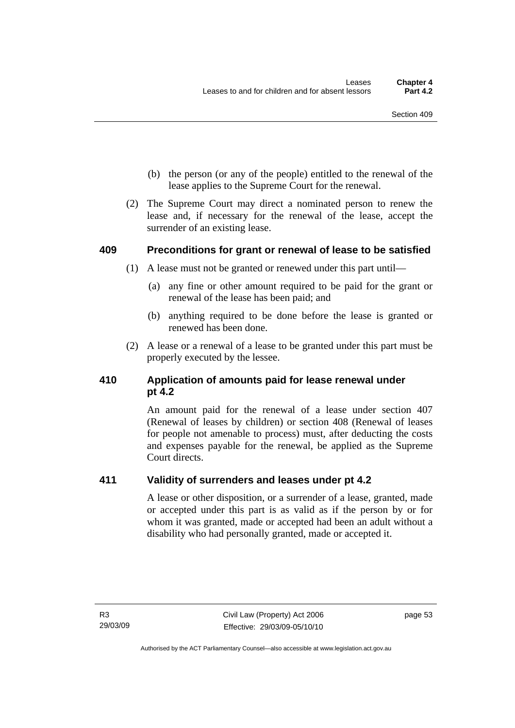- (b) the person (or any of the people) entitled to the renewal of the lease applies to the Supreme Court for the renewal.
- (2) The Supreme Court may direct a nominated person to renew the lease and, if necessary for the renewal of the lease, accept the surrender of an existing lease.

#### **409 Preconditions for grant or renewal of lease to be satisfied**

- (1) A lease must not be granted or renewed under this part until—
	- (a) any fine or other amount required to be paid for the grant or renewal of the lease has been paid; and
	- (b) anything required to be done before the lease is granted or renewed has been done.
- (2) A lease or a renewal of a lease to be granted under this part must be properly executed by the lessee.

### **410 Application of amounts paid for lease renewal under pt 4.2**

An amount paid for the renewal of a lease under section 407 (Renewal of leases by children) or section 408 (Renewal of leases for people not amenable to process) must, after deducting the costs and expenses payable for the renewal, be applied as the Supreme Court directs.

### **411 Validity of surrenders and leases under pt 4.2**

A lease or other disposition, or a surrender of a lease, granted, made or accepted under this part is as valid as if the person by or for whom it was granted, made or accepted had been an adult without a disability who had personally granted, made or accepted it.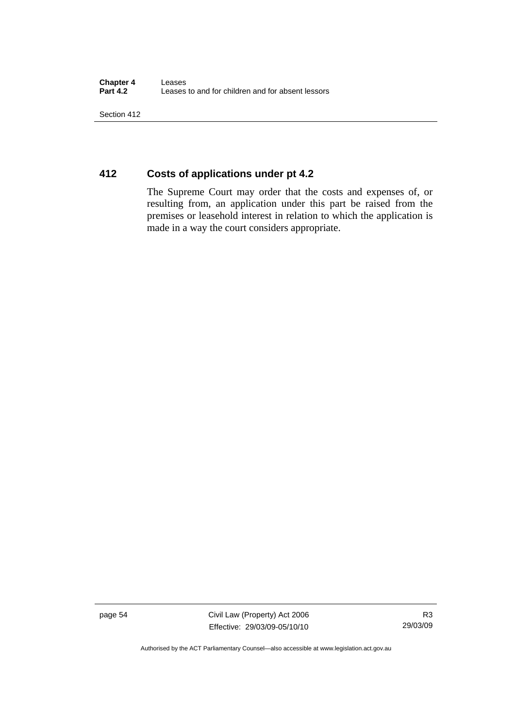Section 412

### **412 Costs of applications under pt 4.2**

The Supreme Court may order that the costs and expenses of, or resulting from, an application under this part be raised from the premises or leasehold interest in relation to which the application is made in a way the court considers appropriate.

page 54 Civil Law (Property) Act 2006 Effective: 29/03/09-05/10/10

Authorised by the ACT Parliamentary Counsel—also accessible at www.legislation.act.gov.au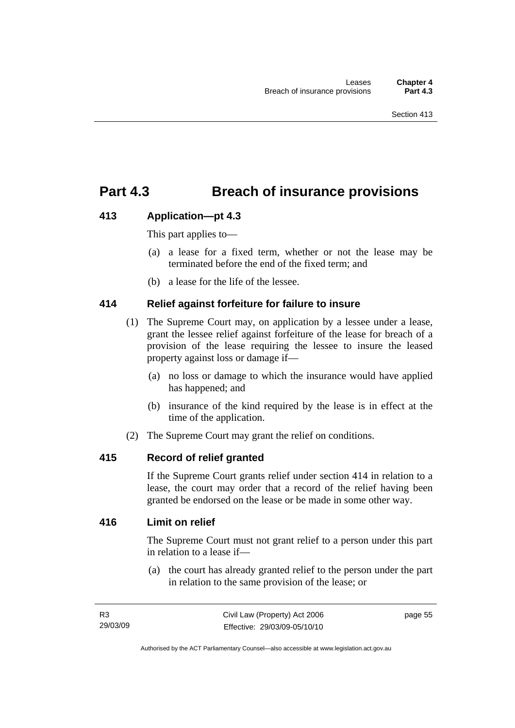## **Part 4.3 Breach of insurance provisions**

#### **413 Application—pt 4.3**

This part applies to—

- (a) a lease for a fixed term, whether or not the lease may be terminated before the end of the fixed term; and
- (b) a lease for the life of the lessee.

#### **414 Relief against forfeiture for failure to insure**

- (1) The Supreme Court may, on application by a lessee under a lease, grant the lessee relief against forfeiture of the lease for breach of a provision of the lease requiring the lessee to insure the leased property against loss or damage if—
	- (a) no loss or damage to which the insurance would have applied has happened; and
	- (b) insurance of the kind required by the lease is in effect at the time of the application.
- (2) The Supreme Court may grant the relief on conditions.

#### **415 Record of relief granted**

If the Supreme Court grants relief under section 414 in relation to a lease, the court may order that a record of the relief having been granted be endorsed on the lease or be made in some other way.

#### **416 Limit on relief**

The Supreme Court must not grant relief to a person under this part in relation to a lease if—

 (a) the court has already granted relief to the person under the part in relation to the same provision of the lease; or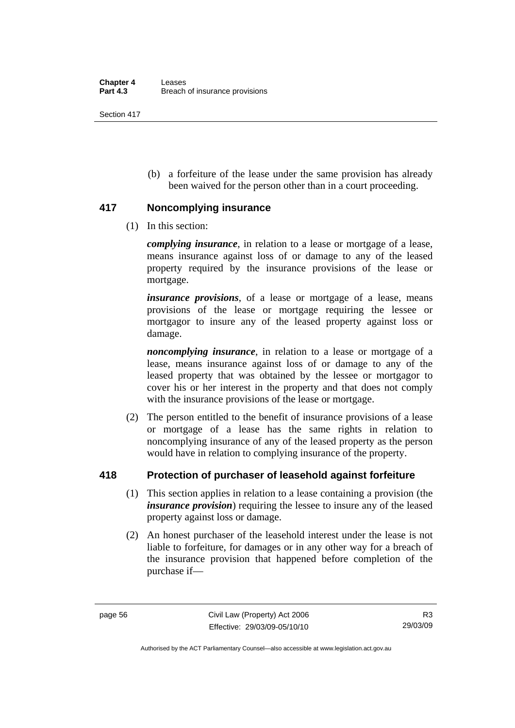Section 417

 (b) a forfeiture of the lease under the same provision has already been waived for the person other than in a court proceeding.

#### **417 Noncomplying insurance**

(1) In this section:

*complying insurance*, in relation to a lease or mortgage of a lease, means insurance against loss of or damage to any of the leased property required by the insurance provisions of the lease or mortgage.

*insurance provisions*, of a lease or mortgage of a lease, means provisions of the lease or mortgage requiring the lessee or mortgagor to insure any of the leased property against loss or damage.

*noncomplying insurance*, in relation to a lease or mortgage of a lease, means insurance against loss of or damage to any of the leased property that was obtained by the lessee or mortgagor to cover his or her interest in the property and that does not comply with the insurance provisions of the lease or mortgage.

 (2) The person entitled to the benefit of insurance provisions of a lease or mortgage of a lease has the same rights in relation to noncomplying insurance of any of the leased property as the person would have in relation to complying insurance of the property.

### **418 Protection of purchaser of leasehold against forfeiture**

- (1) This section applies in relation to a lease containing a provision (the *insurance provision*) requiring the lessee to insure any of the leased property against loss or damage.
- (2) An honest purchaser of the leasehold interest under the lease is not liable to forfeiture, for damages or in any other way for a breach of the insurance provision that happened before completion of the purchase if—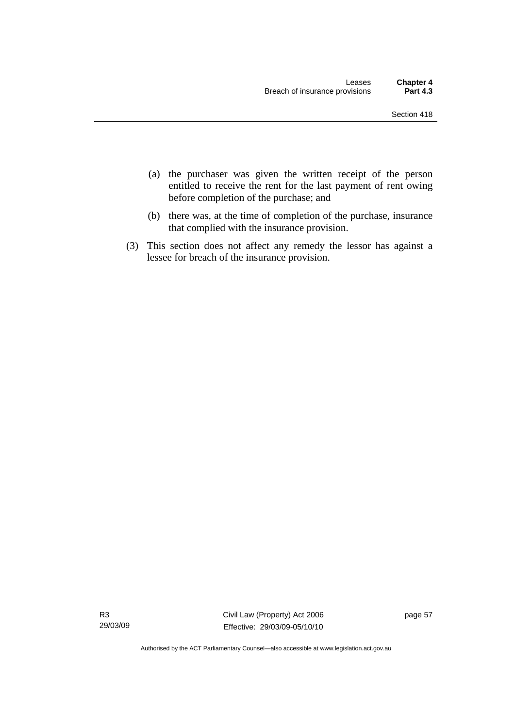- (a) the purchaser was given the written receipt of the person entitled to receive the rent for the last payment of rent owing before completion of the purchase; and
- (b) there was, at the time of completion of the purchase, insurance that complied with the insurance provision.
- (3) This section does not affect any remedy the lessor has against a lessee for breach of the insurance provision.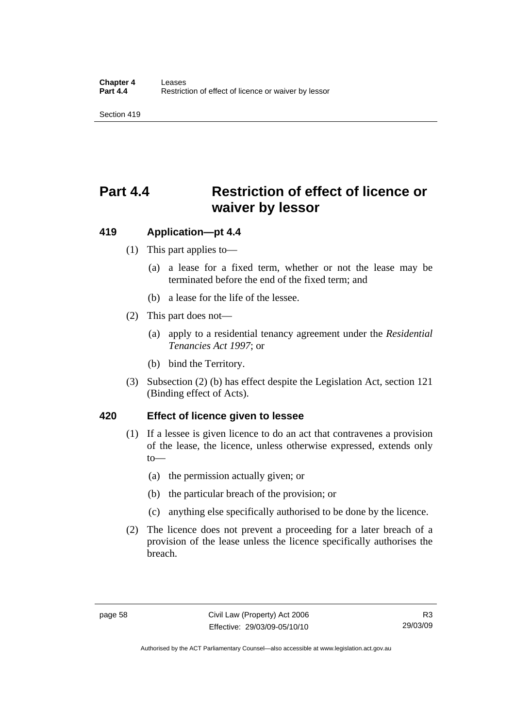Section 419

# **Part 4.4 Restriction of effect of licence or waiver by lessor**

#### **419 Application—pt 4.4**

- (1) This part applies to—
	- (a) a lease for a fixed term, whether or not the lease may be terminated before the end of the fixed term; and
	- (b) a lease for the life of the lessee.
- (2) This part does not—
	- (a) apply to a residential tenancy agreement under the *Residential Tenancies Act 1997*; or
	- (b) bind the Territory.
- (3) Subsection (2) (b) has effect despite the Legislation Act, section 121 (Binding effect of Acts).

#### **420 Effect of licence given to lessee**

- (1) If a lessee is given licence to do an act that contravenes a provision of the lease, the licence, unless otherwise expressed, extends only to—
	- (a) the permission actually given; or
	- (b) the particular breach of the provision; or
	- (c) anything else specifically authorised to be done by the licence.
- (2) The licence does not prevent a proceeding for a later breach of a provision of the lease unless the licence specifically authorises the breach.

Authorised by the ACT Parliamentary Counsel—also accessible at www.legislation.act.gov.au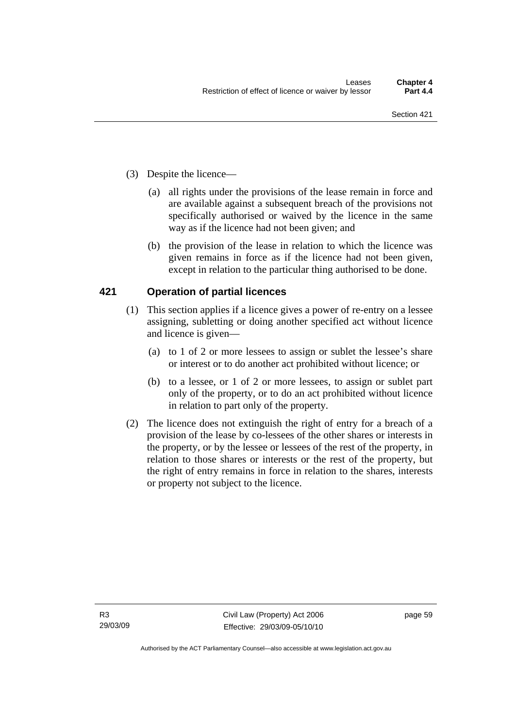- (3) Despite the licence—
	- (a) all rights under the provisions of the lease remain in force and are available against a subsequent breach of the provisions not specifically authorised or waived by the licence in the same way as if the licence had not been given; and
	- (b) the provision of the lease in relation to which the licence was given remains in force as if the licence had not been given, except in relation to the particular thing authorised to be done.

### **421 Operation of partial licences**

- (1) This section applies if a licence gives a power of re-entry on a lessee assigning, subletting or doing another specified act without licence and licence is given—
	- (a) to 1 of 2 or more lessees to assign or sublet the lessee's share or interest or to do another act prohibited without licence; or
	- (b) to a lessee, or 1 of 2 or more lessees, to assign or sublet part only of the property, or to do an act prohibited without licence in relation to part only of the property.
- (2) The licence does not extinguish the right of entry for a breach of a provision of the lease by co-lessees of the other shares or interests in the property, or by the lessee or lessees of the rest of the property, in relation to those shares or interests or the rest of the property, but the right of entry remains in force in relation to the shares, interests or property not subject to the licence.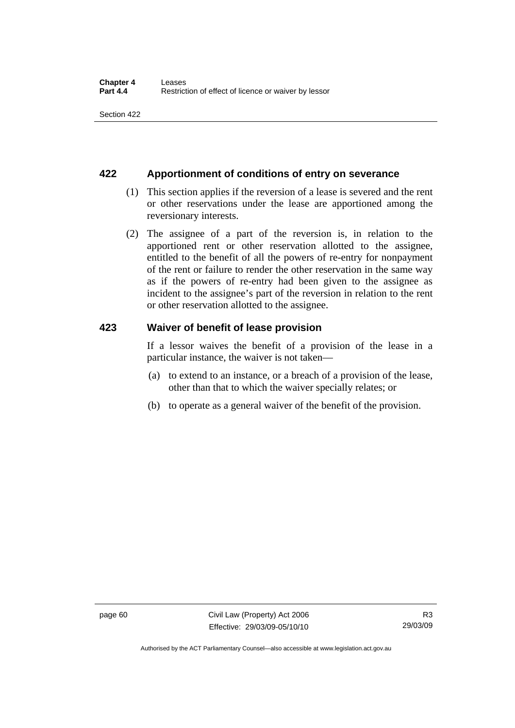#### **422 Apportionment of conditions of entry on severance**

- (1) This section applies if the reversion of a lease is severed and the rent or other reservations under the lease are apportioned among the reversionary interests.
- (2) The assignee of a part of the reversion is, in relation to the apportioned rent or other reservation allotted to the assignee, entitled to the benefit of all the powers of re-entry for nonpayment of the rent or failure to render the other reservation in the same way as if the powers of re-entry had been given to the assignee as incident to the assignee's part of the reversion in relation to the rent or other reservation allotted to the assignee.

#### **423 Waiver of benefit of lease provision**

If a lessor waives the benefit of a provision of the lease in a particular instance, the waiver is not taken—

- (a) to extend to an instance, or a breach of a provision of the lease, other than that to which the waiver specially relates; or
- (b) to operate as a general waiver of the benefit of the provision.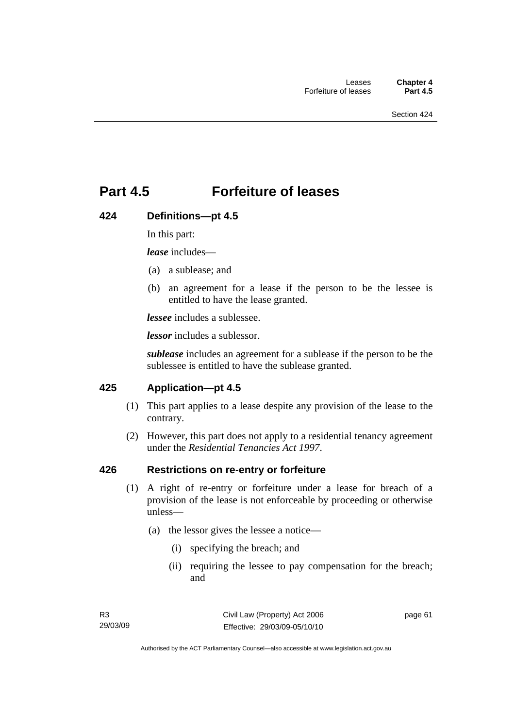## **Part 4.5 Forfeiture of leases**

#### **424 Definitions—pt 4.5**

In this part:

*lease* includes—

- (a) a sublease; and
- (b) an agreement for a lease if the person to be the lessee is entitled to have the lease granted.

*lessee* includes a sublessee.

*lessor* includes a sublessor.

*sublease* includes an agreement for a sublease if the person to be the sublessee is entitled to have the sublease granted.

#### **425 Application—pt 4.5**

- (1) This part applies to a lease despite any provision of the lease to the contrary.
- (2) However, this part does not apply to a residential tenancy agreement under the *Residential Tenancies Act 1997*.

#### **426 Restrictions on re-entry or forfeiture**

- (1) A right of re-entry or forfeiture under a lease for breach of a provision of the lease is not enforceable by proceeding or otherwise unless—
	- (a) the lessor gives the lessee a notice—
		- (i) specifying the breach; and
		- (ii) requiring the lessee to pay compensation for the breach; and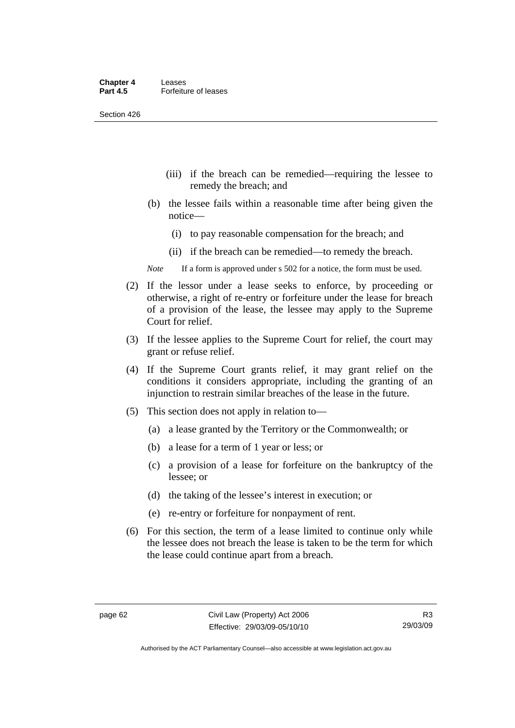Section 426

- (iii) if the breach can be remedied—requiring the lessee to remedy the breach; and
- (b) the lessee fails within a reasonable time after being given the notice—
	- (i) to pay reasonable compensation for the breach; and
	- (ii) if the breach can be remedied—to remedy the breach.
- *Note* If a form is approved under s 502 for a notice, the form must be used.
- (2) If the lessor under a lease seeks to enforce, by proceeding or otherwise, a right of re-entry or forfeiture under the lease for breach of a provision of the lease, the lessee may apply to the Supreme Court for relief.
- (3) If the lessee applies to the Supreme Court for relief, the court may grant or refuse relief.
- (4) If the Supreme Court grants relief, it may grant relief on the conditions it considers appropriate, including the granting of an injunction to restrain similar breaches of the lease in the future.
- (5) This section does not apply in relation to—
	- (a) a lease granted by the Territory or the Commonwealth; or
	- (b) a lease for a term of 1 year or less; or
	- (c) a provision of a lease for forfeiture on the bankruptcy of the lessee; or
	- (d) the taking of the lessee's interest in execution; or
	- (e) re-entry or forfeiture for nonpayment of rent.
- (6) For this section, the term of a lease limited to continue only while the lessee does not breach the lease is taken to be the term for which the lease could continue apart from a breach.

Authorised by the ACT Parliamentary Counsel—also accessible at www.legislation.act.gov.au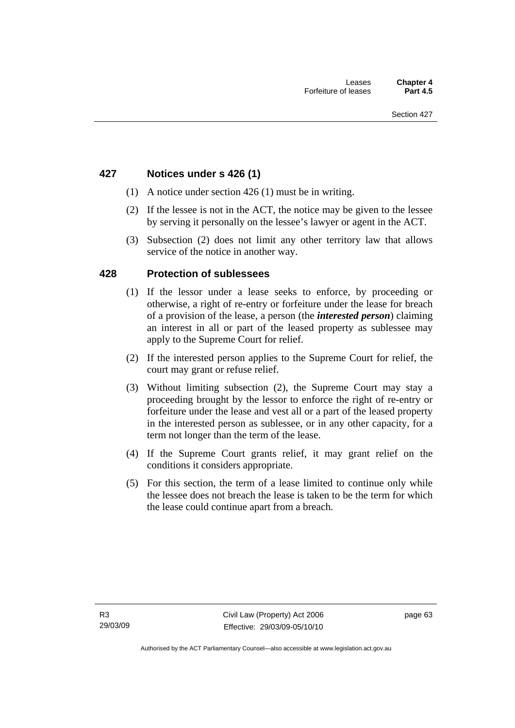## **427 Notices under s 426 (1)**

- (1) A notice under section 426 (1) must be in writing.
- (2) If the lessee is not in the ACT, the notice may be given to the lessee by serving it personally on the lessee's lawyer or agent in the ACT.
- (3) Subsection (2) does not limit any other territory law that allows service of the notice in another way.

## **428 Protection of sublessees**

- (1) If the lessor under a lease seeks to enforce, by proceeding or otherwise, a right of re-entry or forfeiture under the lease for breach of a provision of the lease, a person (the *interested person*) claiming an interest in all or part of the leased property as sublessee may apply to the Supreme Court for relief.
- (2) If the interested person applies to the Supreme Court for relief, the court may grant or refuse relief.
- (3) Without limiting subsection (2), the Supreme Court may stay a proceeding brought by the lessor to enforce the right of re-entry or forfeiture under the lease and vest all or a part of the leased property in the interested person as sublessee, or in any other capacity, for a term not longer than the term of the lease.
- (4) If the Supreme Court grants relief, it may grant relief on the conditions it considers appropriate.
- (5) For this section, the term of a lease limited to continue only while the lessee does not breach the lease is taken to be the term for which the lease could continue apart from a breach.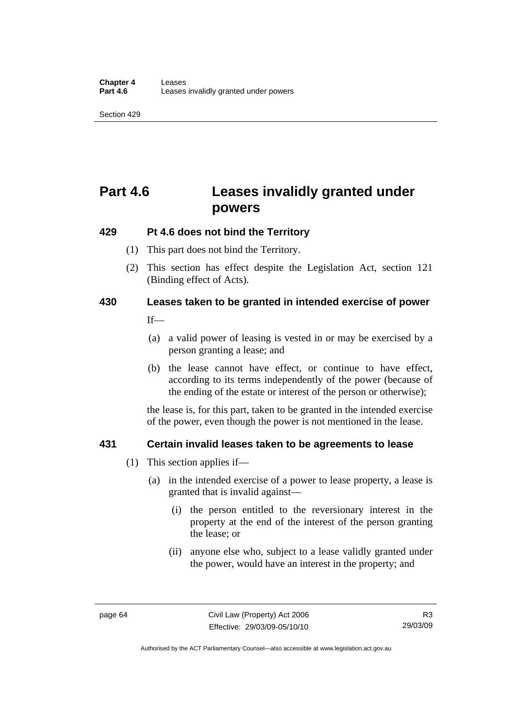Section 429

# **Part 4.6 Leases invalidly granted under powers**

## **429 Pt 4.6 does not bind the Territory**

- (1) This part does not bind the Territory.
- (2) This section has effect despite the Legislation Act*,* section 121 (Binding effect of Acts).

## **430 Leases taken to be granted in intended exercise of power**

 $If$ 

- (a) a valid power of leasing is vested in or may be exercised by a person granting a lease; and
- (b) the lease cannot have effect, or continue to have effect, according to its terms independently of the power (because of the ending of the estate or interest of the person or otherwise);

the lease is, for this part, taken to be granted in the intended exercise of the power, even though the power is not mentioned in the lease.

## **431 Certain invalid leases taken to be agreements to lease**

- (1) This section applies if—
	- (a) in the intended exercise of a power to lease property, a lease is granted that is invalid against—
		- (i) the person entitled to the reversionary interest in the property at the end of the interest of the person granting the lease; or
		- (ii) anyone else who, subject to a lease validly granted under the power, would have an interest in the property; and

Authorised by the ACT Parliamentary Counsel—also accessible at www.legislation.act.gov.au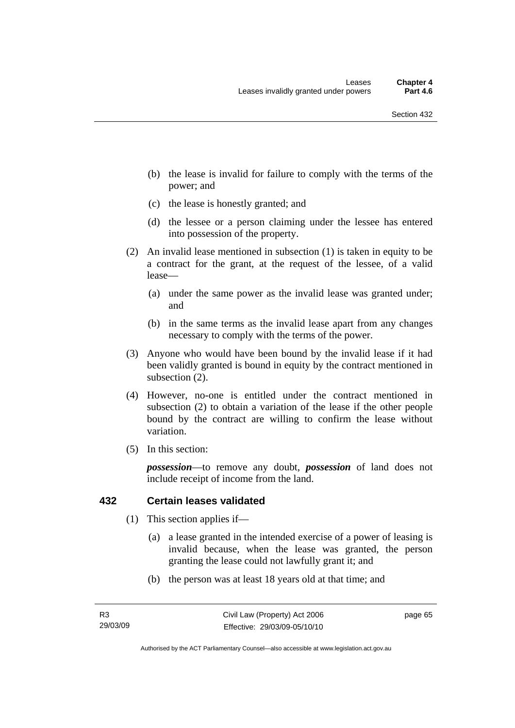- (b) the lease is invalid for failure to comply with the terms of the power; and
- (c) the lease is honestly granted; and
- (d) the lessee or a person claiming under the lessee has entered into possession of the property.
- (2) An invalid lease mentioned in subsection (1) is taken in equity to be a contract for the grant, at the request of the lessee, of a valid lease—
	- (a) under the same power as the invalid lease was granted under; and
	- (b) in the same terms as the invalid lease apart from any changes necessary to comply with the terms of the power.
- (3) Anyone who would have been bound by the invalid lease if it had been validly granted is bound in equity by the contract mentioned in subsection (2).
- (4) However, no-one is entitled under the contract mentioned in subsection (2) to obtain a variation of the lease if the other people bound by the contract are willing to confirm the lease without variation.
- (5) In this section:

*possession*—to remove any doubt, *possession* of land does not include receipt of income from the land.

### **432 Certain leases validated**

- (1) This section applies if—
	- (a) a lease granted in the intended exercise of a power of leasing is invalid because, when the lease was granted, the person granting the lease could not lawfully grant it; and
	- (b) the person was at least 18 years old at that time; and

page 65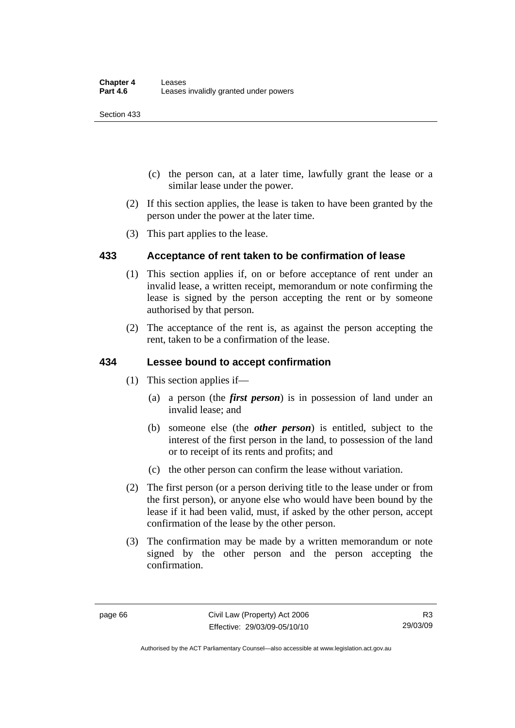Section 433

- (c) the person can, at a later time, lawfully grant the lease or a similar lease under the power.
- (2) If this section applies, the lease is taken to have been granted by the person under the power at the later time.
- (3) This part applies to the lease.

## **433 Acceptance of rent taken to be confirmation of lease**

- (1) This section applies if, on or before acceptance of rent under an invalid lease, a written receipt, memorandum or note confirming the lease is signed by the person accepting the rent or by someone authorised by that person.
- (2) The acceptance of the rent is, as against the person accepting the rent, taken to be a confirmation of the lease.

## **434 Lessee bound to accept confirmation**

- (1) This section applies if—
	- (a) a person (the *first person*) is in possession of land under an invalid lease; and
	- (b) someone else (the *other person*) is entitled, subject to the interest of the first person in the land, to possession of the land or to receipt of its rents and profits; and
	- (c) the other person can confirm the lease without variation.
- (2) The first person (or a person deriving title to the lease under or from the first person), or anyone else who would have been bound by the lease if it had been valid, must, if asked by the other person, accept confirmation of the lease by the other person.
- (3) The confirmation may be made by a written memorandum or note signed by the other person and the person accepting the confirmation.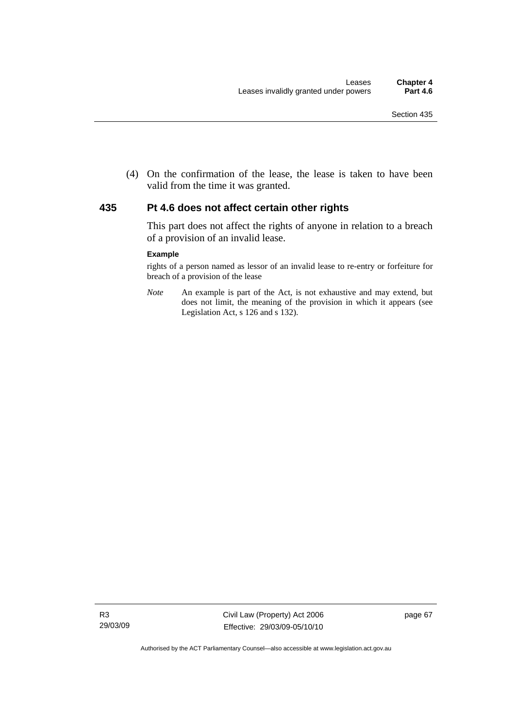(4) On the confirmation of the lease, the lease is taken to have been valid from the time it was granted.

### **435 Pt 4.6 does not affect certain other rights**

This part does not affect the rights of anyone in relation to a breach of a provision of an invalid lease.

#### **Example**

rights of a person named as lessor of an invalid lease to re-entry or forfeiture for breach of a provision of the lease

*Note* An example is part of the Act, is not exhaustive and may extend, but does not limit, the meaning of the provision in which it appears (see Legislation Act, s 126 and s 132).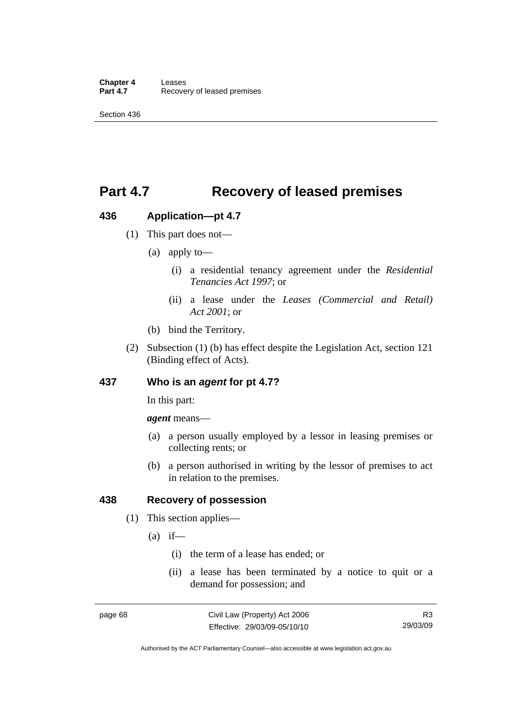# **Part 4.7 Recovery of leased premises**

## **436 Application—pt 4.7**

- (1) This part does not—
	- (a) apply to—
		- (i) a residential tenancy agreement under the *Residential Tenancies Act 1997*; or
		- (ii) a lease under the *Leases (Commercial and Retail) Act 2001*; or
	- (b) bind the Territory.
- (2) Subsection (1) (b) has effect despite the Legislation Act, section 121 (Binding effect of Acts).

## **437 Who is an** *agent* **for pt 4.7?**

In this part:

*agent* means—

- (a) a person usually employed by a lessor in leasing premises or collecting rents; or
- (b) a person authorised in writing by the lessor of premises to act in relation to the premises.

## **438 Recovery of possession**

- (1) This section applies—
	- $(a)$  if—
		- (i) the term of a lease has ended; or
		- (ii) a lease has been terminated by a notice to quit or a demand for possession; and

Authorised by the ACT Parliamentary Counsel—also accessible at www.legislation.act.gov.au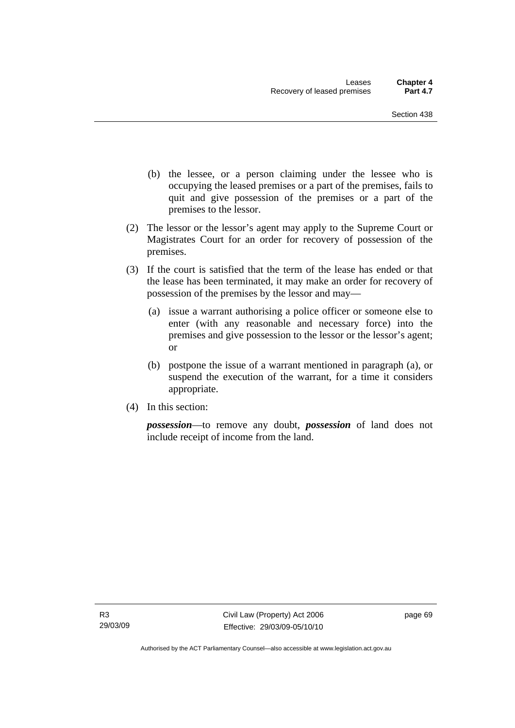- (b) the lessee, or a person claiming under the lessee who is occupying the leased premises or a part of the premises, fails to quit and give possession of the premises or a part of the premises to the lessor.
- (2) The lessor or the lessor's agent may apply to the Supreme Court or Magistrates Court for an order for recovery of possession of the premises.
- (3) If the court is satisfied that the term of the lease has ended or that the lease has been terminated, it may make an order for recovery of possession of the premises by the lessor and may—
	- (a) issue a warrant authorising a police officer or someone else to enter (with any reasonable and necessary force) into the premises and give possession to the lessor or the lessor's agent; or
	- (b) postpone the issue of a warrant mentioned in paragraph (a), or suspend the execution of the warrant, for a time it considers appropriate.
- (4) In this section:

*possession*—to remove any doubt, *possession* of land does not include receipt of income from the land.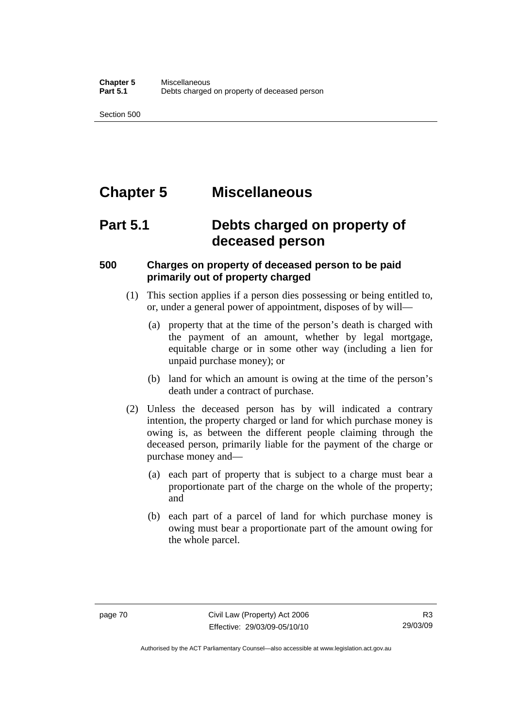Section 500

# **Chapter 5 Miscellaneous**

# **Part 5.1 Debts charged on property of deceased person**

## **500 Charges on property of deceased person to be paid primarily out of property charged**

- (1) This section applies if a person dies possessing or being entitled to, or, under a general power of appointment, disposes of by will—
	- (a) property that at the time of the person's death is charged with the payment of an amount, whether by legal mortgage, equitable charge or in some other way (including a lien for unpaid purchase money); or
	- (b) land for which an amount is owing at the time of the person's death under a contract of purchase.
- (2) Unless the deceased person has by will indicated a contrary intention, the property charged or land for which purchase money is owing is, as between the different people claiming through the deceased person, primarily liable for the payment of the charge or purchase money and—
	- (a) each part of property that is subject to a charge must bear a proportionate part of the charge on the whole of the property; and
	- (b) each part of a parcel of land for which purchase money is owing must bear a proportionate part of the amount owing for the whole parcel.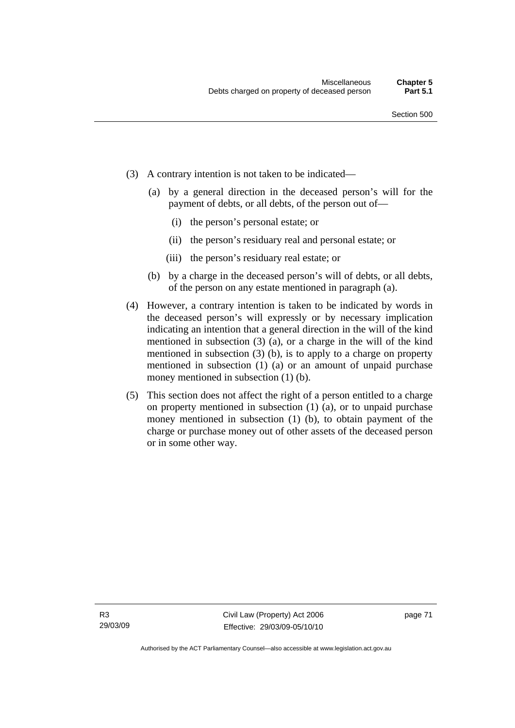- (3) A contrary intention is not taken to be indicated—
	- (a) by a general direction in the deceased person's will for the payment of debts, or all debts, of the person out of—
		- (i) the person's personal estate; or
		- (ii) the person's residuary real and personal estate; or
		- (iii) the person's residuary real estate; or
	- (b) by a charge in the deceased person's will of debts, or all debts, of the person on any estate mentioned in paragraph (a).
- (4) However, a contrary intention is taken to be indicated by words in the deceased person's will expressly or by necessary implication indicating an intention that a general direction in the will of the kind mentioned in subsection (3) (a), or a charge in the will of the kind mentioned in subsection (3) (b), is to apply to a charge on property mentioned in subsection (1) (a) or an amount of unpaid purchase money mentioned in subsection (1) (b).
- (5) This section does not affect the right of a person entitled to a charge on property mentioned in subsection (1) (a), or to unpaid purchase money mentioned in subsection (1) (b), to obtain payment of the charge or purchase money out of other assets of the deceased person or in some other way.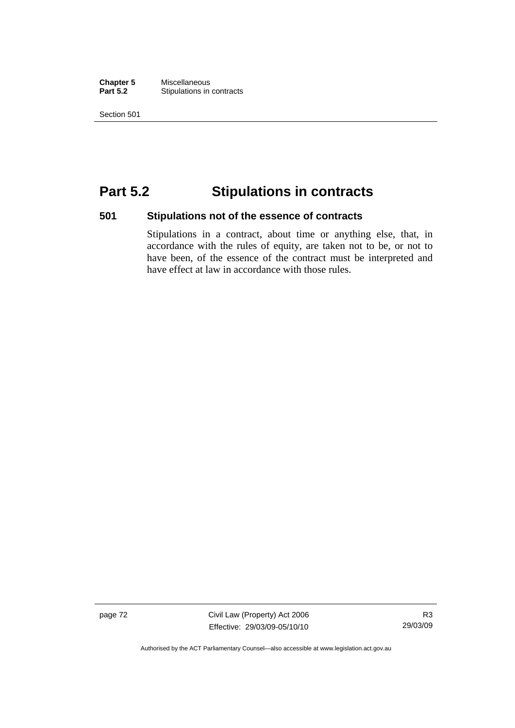**Chapter 5** Miscellaneous<br>**Part 5.2** Stipulations in **Stipulations in contracts** 

Section 501

# **Part 5.2 Stipulations in contracts**

## **501 Stipulations not of the essence of contracts**

Stipulations in a contract, about time or anything else, that, in accordance with the rules of equity, are taken not to be, or not to have been, of the essence of the contract must be interpreted and have effect at law in accordance with those rules.

page 72 Civil Law (Property) Act 2006 Effective: 29/03/09-05/10/10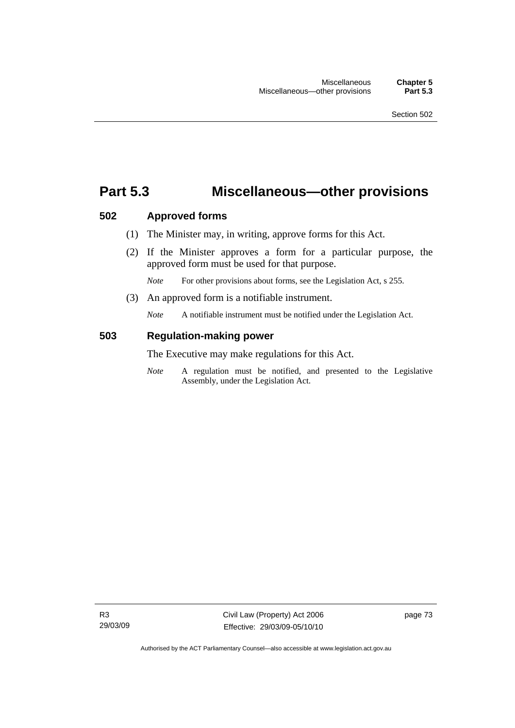## **Part 5.3 Miscellaneous—other provisions**

## **502 Approved forms**

- (1) The Minister may, in writing, approve forms for this Act.
- (2) If the Minister approves a form for a particular purpose, the approved form must be used for that purpose.

*Note* For other provisions about forms, see the Legislation Act, s 255.

(3) An approved form is a notifiable instrument.

*Note* A notifiable instrument must be notified under the Legislation Act.

## **503 Regulation-making power**

The Executive may make regulations for this Act.

*Note* A regulation must be notified, and presented to the Legislative Assembly, under the Legislation Act.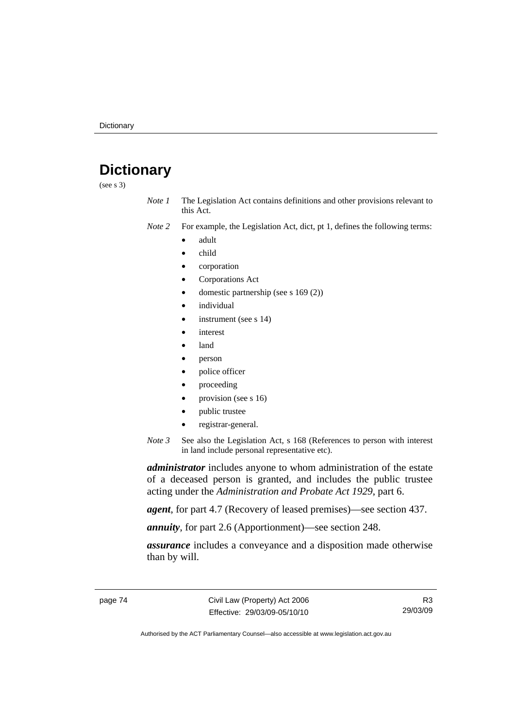# **Dictionary**

(see s 3)

*Note 1* The Legislation Act contains definitions and other provisions relevant to this Act.

*Note 2* For example, the Legislation Act, dict, pt 1, defines the following terms:

- adult
- child
- corporation
- Corporations Act
- domestic partnership (see s 169 (2))
- *individual*
- instrument (see s 14)
- interest
- land
- person
- police officer
- proceeding
- provision (see s 16)
- public trustee
- registrar-general.
- *Note 3* See also the Legislation Act, s 168 (References to person with interest in land include personal representative etc).

*administrator* includes anyone to whom administration of the estate of a deceased person is granted, and includes the public trustee acting under the *Administration and Probate Act 1929*, part 6.

*agent*, for part 4.7 (Recovery of leased premises)—see section 437.

*annuity*, for part 2.6 (Apportionment)—see section 248.

*assurance* includes a conveyance and a disposition made otherwise than by will.

R3 29/03/09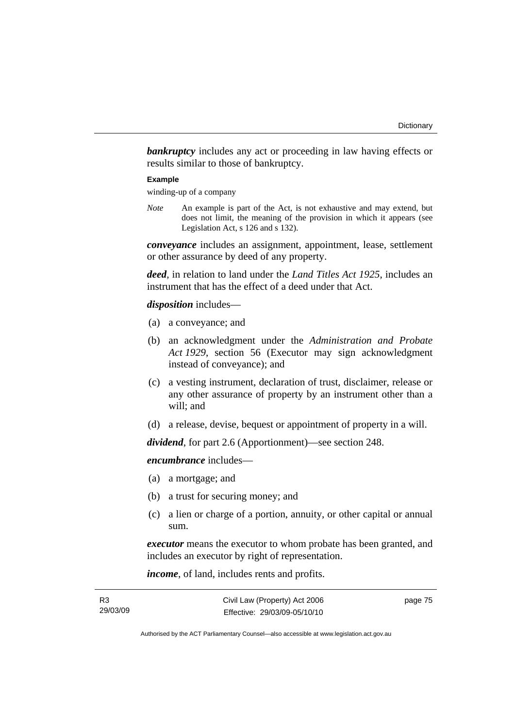**bankruptcy** includes any act or proceeding in law having effects or results similar to those of bankruptcy.

#### **Example**

winding-up of a company

*Note* An example is part of the Act, is not exhaustive and may extend, but does not limit, the meaning of the provision in which it appears (see Legislation Act, s 126 and s 132).

*conveyance* includes an assignment, appointment, lease, settlement or other assurance by deed of any property.

*deed*, in relation to land under the *Land Titles Act 1925*, includes an instrument that has the effect of a deed under that Act.

### *disposition* includes—

- (a) a conveyance; and
- (b) an acknowledgment under the *Administration and Probate Act 1929*, section 56 (Executor may sign acknowledgment instead of conveyance); and
- (c) a vesting instrument, declaration of trust, disclaimer, release or any other assurance of property by an instrument other than a will; and
- (d) a release, devise, bequest or appointment of property in a will.

*dividend*, for part 2.6 (Apportionment)—see section 248.

*encumbrance* includes—

- (a) a mortgage; and
- (b) a trust for securing money; and
- (c) a lien or charge of a portion, annuity, or other capital or annual sum.

*executor* means the executor to whom probate has been granted, and includes an executor by right of representation.

*income*, of land, includes rents and profits.

| R3       | Civil Law (Property) Act 2006 | page 75 |
|----------|-------------------------------|---------|
| 29/03/09 | Effective: 29/03/09-05/10/10  |         |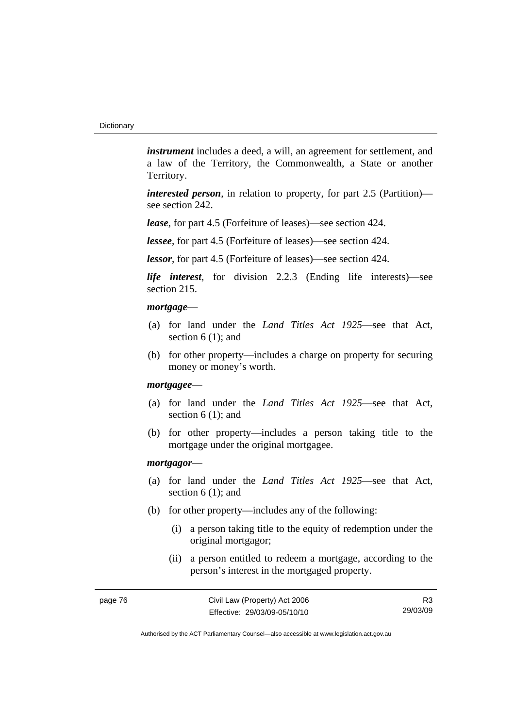*instrument* includes a deed, a will, an agreement for settlement, and a law of the Territory, the Commonwealth, a State or another Territory.

*interested person*, in relation to property, for part 2.5 (Partition) see section 242.

*lease*, for part 4.5 (Forfeiture of leases)—see section 424.

*lessee*, for part 4.5 (Forfeiture of leases)—see section 424.

*lessor*, for part 4.5 (Forfeiture of leases)—see section 424.

*life interest*, for division 2.2.3 (Ending life interests)—see section 215.

### *mortgage*—

- (a) for land under the *Land Titles Act 1925*—see that Act, section 6 (1); and
- (b) for other property—includes a charge on property for securing money or money's worth.

#### *mortgagee*—

- (a) for land under the *Land Titles Act 1925*—see that Act, section 6 (1); and
- (b) for other property—includes a person taking title to the mortgage under the original mortgagee.

#### *mortgagor*—

- (a) for land under the *Land Titles Act 1925*—see that Act, section 6 (1); and
- (b) for other property—includes any of the following:
	- (i) a person taking title to the equity of redemption under the original mortgagor;
	- (ii) a person entitled to redeem a mortgage, according to the person's interest in the mortgaged property.

R3 29/03/09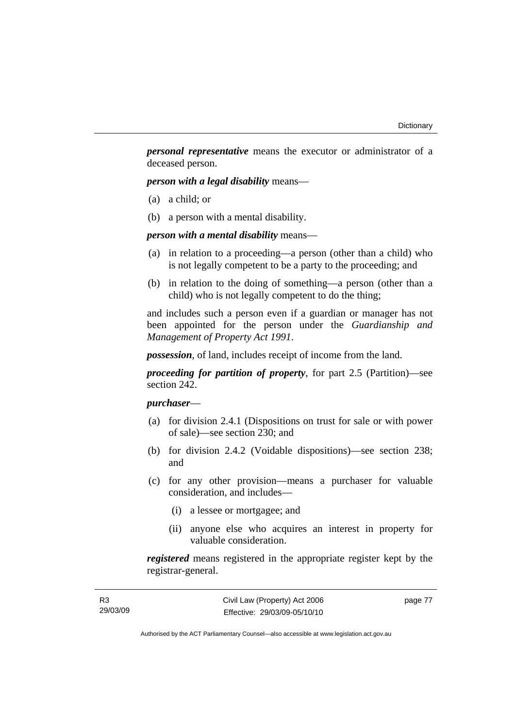*personal representative* means the executor or administrator of a deceased person.

*person with a legal disability* means—

- (a) a child; or
- (b) a person with a mental disability.

*person with a mental disability* means—

- (a) in relation to a proceeding—a person (other than a child) who is not legally competent to be a party to the proceeding; and
- (b) in relation to the doing of something—a person (other than a child) who is not legally competent to do the thing;

and includes such a person even if a guardian or manager has not been appointed for the person under the *Guardianship and Management of Property Act 1991*.

*possession*, of land, includes receipt of income from the land.

*proceeding for partition of property*, for part 2.5 (Partition)—see section 242.

## *purchaser*—

- (a) for division 2.4.1 (Dispositions on trust for sale or with power of sale)—see section 230; and
- (b) for division 2.4.2 (Voidable dispositions)—see section 238; and
- (c) for any other provision—means a purchaser for valuable consideration, and includes—
	- (i) a lessee or mortgagee; and
	- (ii) anyone else who acquires an interest in property for valuable consideration.

*registered* means registered in the appropriate register kept by the registrar-general.

| R3       |  |
|----------|--|
| 29/03/09 |  |

page 77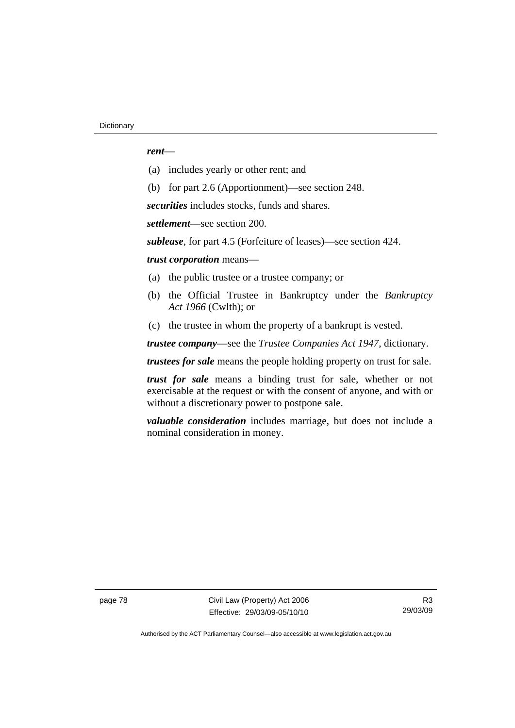### *rent*—

- (a) includes yearly or other rent; and
- (b) for part 2.6 (Apportionment)—see section 248.

*securities* includes stocks, funds and shares.

*settlement*—see section 200.

*sublease*, for part 4.5 (Forfeiture of leases)—see section 424.

*trust corporation* means—

- (a) the public trustee or a trustee company; or
- (b) the Official Trustee in Bankruptcy under the *Bankruptcy Act 1966* (Cwlth); or
- (c) the trustee in whom the property of a bankrupt is vested.

*trustee company*—see the *Trustee Companies Act 1947*, dictionary.

*trustees for sale* means the people holding property on trust for sale.

*trust for sale* means a binding trust for sale, whether or not exercisable at the request or with the consent of anyone, and with or without a discretionary power to postpone sale.

*valuable consideration* includes marriage, but does not include a nominal consideration in money.

page 78 Civil Law (Property) Act 2006 Effective: 29/03/09-05/10/10

R3 29/03/09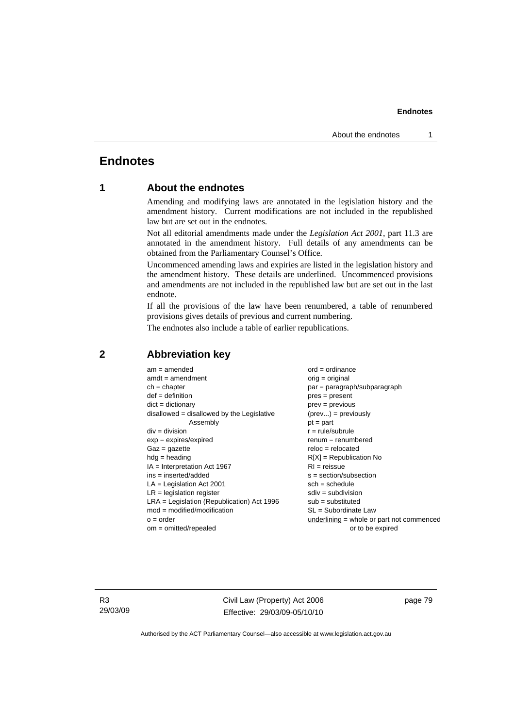#### **Endnotes**

## **Endnotes**

## **1 About the endnotes**

Amending and modifying laws are annotated in the legislation history and the amendment history. Current modifications are not included in the republished law but are set out in the endnotes.

Not all editorial amendments made under the *Legislation Act 2001*, part 11.3 are annotated in the amendment history. Full details of any amendments can be obtained from the Parliamentary Counsel's Office.

Uncommenced amending laws and expiries are listed in the legislation history and the amendment history. These details are underlined. Uncommenced provisions and amendments are not included in the republished law but are set out in the last endnote.

If all the provisions of the law have been renumbered, a table of renumbered provisions gives details of previous and current numbering.

The endnotes also include a table of earlier republications.

| $am = amended$                               | $ord = ordinance$                         |  |
|----------------------------------------------|-------------------------------------------|--|
| $amdt = amendment$                           | $orig = original$                         |  |
| $ch = chapter$                               | $par = paragraph/subparagraph$            |  |
| $def = definition$                           | $pres = present$                          |  |
| $dict = dictionary$                          | $prev = previous$                         |  |
| $disallowed = disallowed by the Legislative$ | $(\text{prev}) = \text{previously}$       |  |
| Assembly                                     | $pt = part$                               |  |
| $div = division$                             | $r = rule/subrule$                        |  |
| $exp = expires/expired$                      | $remum = renumbered$                      |  |
| $Gaz = gazette$                              | $reloc = relocated$                       |  |
| $hdg =$ heading                              | $R[X]$ = Republication No                 |  |
| $IA = Interpretation Act 1967$               | $RI = reissue$                            |  |
| $ins = inserted/added$                       | $s = section/subsection$                  |  |
| $LA =$ Legislation Act 2001                  | $sch = schedule$                          |  |
| $LR =$ legislation register                  | $sdiv = subdivision$                      |  |
| $LRA =$ Legislation (Republication) Act 1996 | $sub =$ substituted                       |  |
| $mod = modified/modification$                | SL = Subordinate Law                      |  |
| $o = order$                                  | underlining = whole or part not commenced |  |
| $om = omitted/report$                        | or to be expired                          |  |
|                                              |                                           |  |

### **2 Abbreviation key**

R3 29/03/09 Civil Law (Property) Act 2006 Effective: 29/03/09-05/10/10 page 79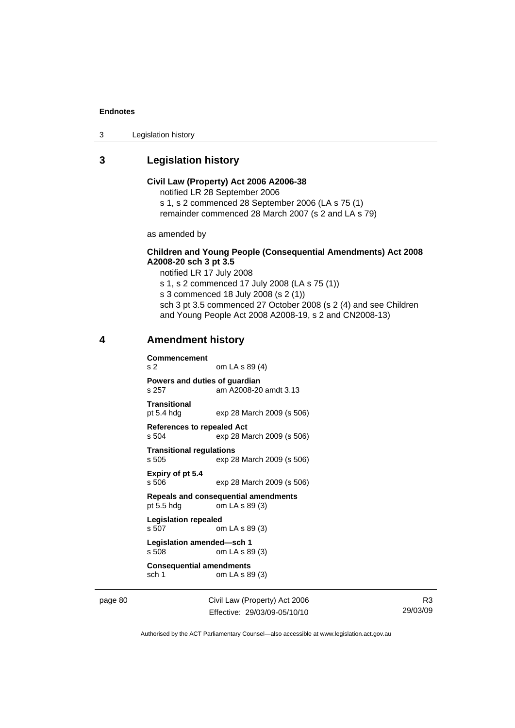#### **Endnotes**

3 Legislation history

## **3 Legislation history**

#### **Civil Law (Property) Act 2006 A2006-38**  notified LR 28 September 2006

s 1, s 2 commenced 28 September 2006 (LA s 75 (1) remainder commenced 28 March 2007 (s 2 and LA s 79)

as amended by

### **Children and Young People (Consequential Amendments) Act 2008 A2008-20 sch 3 pt 3.5**

notified LR 17 July 2008

s 1, s 2 commenced 17 July 2008 (LA s 75 (1))

s 3 commenced 18 July 2008 (s 2 (1))

sch 3 pt 3.5 commenced 27 October 2008 (s 2 (4) and see Children and Young People Act 2008 A2008-19, s 2 and CN2008-13)

### **4 Amendment history**

**Commencement**  s 2 om LA s 89 (4)

**Powers and duties of guardian**  s 257 am A2008-20 amdt 3.13

**Transitional**  pt 5.4 hdg exp 28 March 2009 (s 506)

**References to repealed Act**  s 504 exp 28 March 2009 (s 506)

**Transitional regulations** 

exp 28 March 2009 (s 506) **Expiry of pt 5.4** 

s 506 exp 28 March 2009 (s 506)

**Repeals and consequential amendments**   $om LA s 89 (3)$ 

**Legislation repealed**  s 507 om LA s 89 (3) **Legislation amended—sch 1** 

s 508 om LA s 89 (3)

**Consequential amendments**  sch 1 om LA s 89 (3)

page 80 Civil Law (Property) Act 2006 Effective: 29/03/09-05/10/10

R3 29/03/09